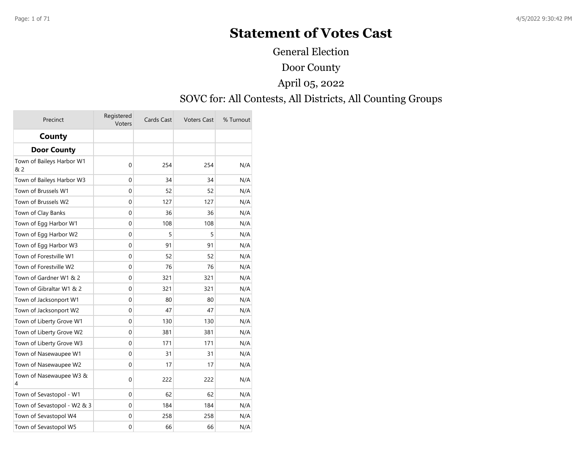# **Statement of Votes Cast**

General Election

#### Door County

# April 05, 2022

#### SOVC for: All Contests, All Districts, All Counting Groups

| Precinct                         | Registered<br><b>Voters</b> | Cards Cast | <b>Voters Cast</b> | % Turnout |
|----------------------------------|-----------------------------|------------|--------------------|-----------|
| County                           |                             |            |                    |           |
| <b>Door County</b>               |                             |            |                    |           |
| Town of Baileys Harbor W1<br>& 2 | 0                           | 254        | 254                | N/A       |
| Town of Baileys Harbor W3        | 0                           | 34         | 34                 | N/A       |
| Town of Brussels W1              | 0                           | 52         | 52                 | N/A       |
| Town of Brussels W2              | 0                           | 127        | 127                | N/A       |
| Town of Clay Banks               | 0                           | 36         | 36                 | N/A       |
| Town of Egg Harbor W1            | $\mathbf 0$                 | 108        | 108                | N/A       |
| Town of Egg Harbor W2            | 0                           | 5          | 5                  | N/A       |
| Town of Egg Harbor W3            | 0                           | 91         | 91                 | N/A       |
| Town of Forestville W1           | 0                           | 52         | 52                 | N/A       |
| Town of Forestville W2           | 0                           | 76         | 76                 | N/A       |
| Town of Gardner W1 & 2           | 0                           | 321        | 321                | N/A       |
| Town of Gibraltar W1 & 2         | $\Omega$                    | 321        | 321                | N/A       |
| Town of Jacksonport W1           | $\mathbf 0$                 | 80         | 80                 | N/A       |
| Town of Jacksonport W2           | $\mathbf 0$                 | 47         | 47                 | N/A       |
| Town of Liberty Grove W1         | 0                           | 130        | 130                | N/A       |
| Town of Liberty Grove W2         | 0                           | 381        | 381                | N/A       |
| Town of Liberty Grove W3         | 0                           | 171        | 171                | N/A       |
| Town of Nasewaupee W1            | 0                           | 31         | 31                 | N/A       |
| Town of Nasewaupee W2            | 0                           | 17         | 17                 | N/A       |
| Town of Nasewaupee W3 &<br>4     | 0                           | 222        | 222                | N/A       |
| Town of Sevastopol - W1          | 0                           | 62         | 62                 | N/A       |
| Town of Sevastopol - W2 & 3      | $\Omega$                    | 184        | 184                | N/A       |
| Town of Sevastopol W4            | 0                           | 258        | 258                | N/A       |
| Town of Sevastopol W5            | 0                           | 66         | 66                 | N/A       |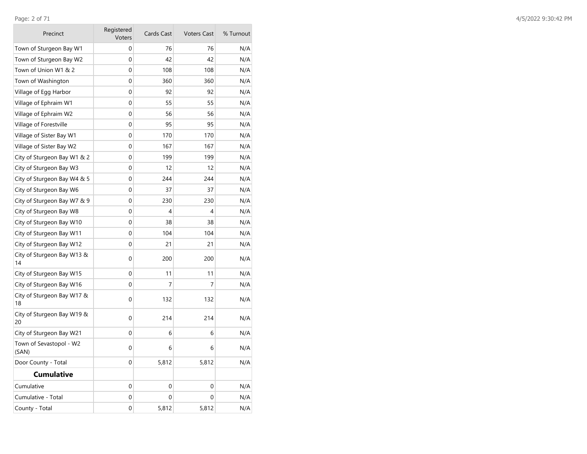**College** 

| Precinct                         | Registered<br>Voters | Cards Cast  | <b>Voters Cast</b> | % Turnout |
|----------------------------------|----------------------|-------------|--------------------|-----------|
| Town of Sturgeon Bay W1          | 0                    | 76          | 76                 | N/A       |
| Town of Sturgeon Bay W2          | 0                    | 42          | 42                 | N/A       |
| Town of Union W1 & 2             | 0                    | 108         | 108                | N/A       |
| Town of Washington               | 0                    | 360         | 360                | N/A       |
| Village of Egg Harbor            | 0                    | 92          | 92                 | N/A       |
| Village of Ephraim W1            | 0                    | 55          | 55                 | N/A       |
| Village of Ephraim W2            | 0                    | 56          | 56                 | N/A       |
| Village of Forestville           | 0                    | 95          | 95                 | N/A       |
| Village of Sister Bay W1         | 0                    | 170         | 170                | N/A       |
| Village of Sister Bay W2         | 0                    | 167         | 167                | N/A       |
| City of Sturgeon Bay W1 & 2      | 0                    | 199         | 199                | N/A       |
| City of Sturgeon Bay W3          | 0                    | 12          | 12                 | N/A       |
| City of Sturgeon Bay W4 & 5      | 0                    | 244         | 244                | N/A       |
| City of Sturgeon Bay W6          | 0                    | 37          | 37                 | N/A       |
| City of Sturgeon Bay W7 & 9      | 0                    | 230         | 230                | N/A       |
| City of Sturgeon Bay W8          | 0                    | 4           | 4                  | N/A       |
| City of Sturgeon Bay W10         | 0                    | 38          | 38                 | N/A       |
| City of Sturgeon Bay W11         | 0                    | 104         | 104                | N/A       |
| City of Sturgeon Bay W12         | 0                    | 21          | 21                 | N/A       |
| City of Sturgeon Bay W13 &<br>14 | 0                    | 200         | 200                | N/A       |
| City of Sturgeon Bay W15         | 0                    | 11          | 11                 | N/A       |
| City of Sturgeon Bay W16         | 0                    | 7           | 7                  | N/A       |
| City of Sturgeon Bay W17 &<br>18 | 0                    | 132         | 132                | N/A       |
| City of Sturgeon Bay W19 &<br>20 | $\mathbf 0$          | 214         | 214                | N/A       |
| City of Sturgeon Bay W21         | 0                    | 6           | 6                  | N/A       |
| Town of Sevastopol - W2<br>(SAN) | 0                    | 6           | 6                  | N/A       |
| Door County - Total              | 0                    | 5,812       | 5,812              | N/A       |
| Cumulative                       |                      |             |                    |           |
| Cumulative                       | 0                    | 0           | 0                  | N/A       |
| Cumulative - Total               | 0                    | $\mathbf 0$ | $\mathbf 0$        | N/A       |
| County - Total                   | 0                    | 5,812       | 5,812              | N/A       |

 $\sim$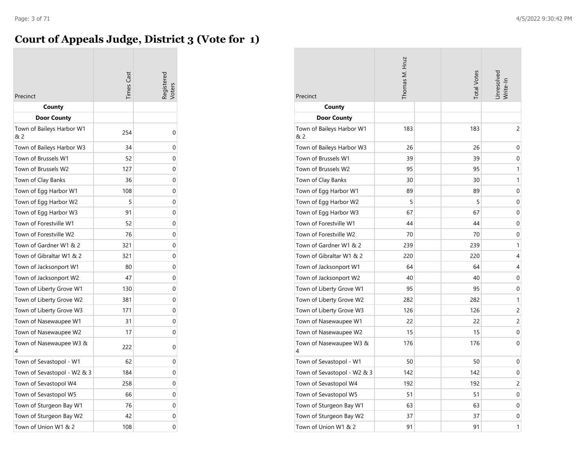#### **Court of Appeals Judge, District 3 (Vote for 1)**

| Precinct                         | imes Cas | egistered |
|----------------------------------|----------|-----------|
| County                           |          |           |
| <b>Door County</b>               |          |           |
| Town of Baileys Harbor W1<br>& 2 | 254      | 0         |
| Town of Baileys Harbor W3        | 34       | 0         |
| Town of Brussels W1              | 52       | 0         |
| Town of Brussels W2              | 127      | 0         |
| Town of Clay Banks               | 36       | 0         |
| Town of Egg Harbor W1            | 108      | 0         |
| Town of Egg Harbor W2            | 5        | 0         |
| Town of Egg Harbor W3            | 91       | 0         |
| Town of Forestville W1           | 52       | 0         |
| Town of Forestville W2           | 76       | 0         |
| Town of Gardner W1 & 2           | 321      | 0         |
| Town of Gibraltar W1 & 2         | 321      | 0         |
| Town of Jacksonport W1           | 80       | 0         |
| Town of Jacksonport W2           | 47       | 0         |
| Town of Liberty Grove W1         | 130      | 0         |
| Town of Liberty Grove W2         | 381      | 0         |
| Town of Liberty Grove W3         | 171      | 0         |
| Town of Nasewaupee W1            | 31       | 0         |
| Town of Nasewaupee W2            | 17       | 0         |
| Town of Nasewaupee W3 &<br>4     | 222      | 0         |
| Town of Sevastopol - W1          | 62       | 0         |
| Town of Sevastopol - W2 & 3      | 184      | 0         |
| Town of Sevastopol W4            | 258      | 0         |
| Town of Sevastopol W5            | 66       | 0         |
| Town of Sturgeon Bay W1          | 76       | 0         |
| Town of Sturgeon Bay W2          | 42       | 0         |
| Town of Union W1 & 2             | 108      | 0         |

| Precinct                         | Thomas M. Hruz |  | <b>Total Votes</b> | Jnresolved<br>Write-In |
|----------------------------------|----------------|--|--------------------|------------------------|
| County                           |                |  |                    |                        |
| <b>Door County</b>               |                |  |                    |                        |
| Town of Baileys Harbor W1<br>& 2 | 183            |  | 183                | 2                      |
| Town of Baileys Harbor W3        | 26             |  | 26                 | 0                      |
| Town of Brussels W1              | 39             |  | 39                 | 0                      |
| Town of Brussels W2              | 95             |  | 95                 | 1                      |
| Town of Clay Banks               | 30             |  | 30                 | 1                      |
| Town of Egg Harbor W1            | 89             |  | 89                 | 0                      |
| Town of Egg Harbor W2            | 5              |  | 5                  | 0                      |
| Town of Egg Harbor W3            | 67             |  | 67                 | 0                      |
| Town of Forestville W1           | 44             |  | 44                 | 0                      |
| Town of Forestville W2           | 70             |  | 70                 | 0                      |
| Town of Gardner W1 & 2           | 239            |  | 239                | 1                      |
| Town of Gibraltar W1 & 2         | 220            |  | 220                | 4                      |
| Town of Jacksonport W1           | 64             |  | 64                 | 4                      |
| Town of Jacksonport W2           | 40             |  | 40                 | 0                      |
| Town of Liberty Grove W1         | 95             |  | 95                 | 0                      |
| Town of Liberty Grove W2         | 282            |  | 282                | 1                      |
| Town of Liberty Grove W3         | 126            |  | 126                | 2                      |
| Town of Nasewaupee W1            | 22             |  | 22                 | 2                      |
| Town of Nasewaupee W2            | 15             |  | 15                 | 0                      |
| Town of Nasewaupee W3 &<br>4     | 176            |  | 176                | 0                      |
| Town of Sevastopol - W1          | 50             |  | 50                 | 0                      |
| Town of Sevastopol - W2 & 3      | 142            |  | 142                | 0                      |
| Town of Sevastopol W4            | 192            |  | 192                | 2                      |
| Town of Sevastopol W5            | 51             |  | 51                 | 0                      |
| Town of Sturgeon Bay W1          | 63             |  | 63                 | 0                      |
| Town of Sturgeon Bay W2          | 37             |  | 37                 | 0                      |
| Town of Union W1 & 2             | 91             |  | 91                 | 1                      |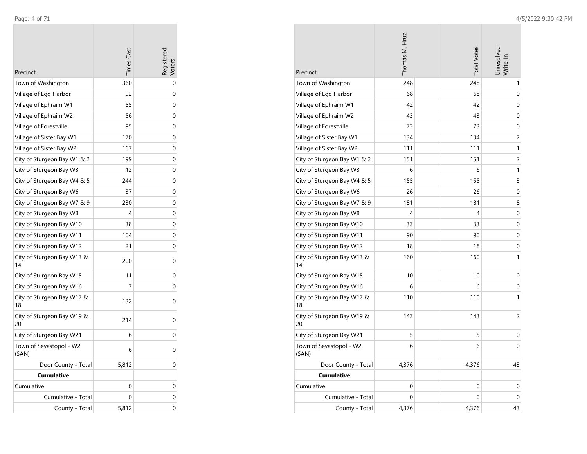$\overline{\phantom{a}}$ 

|                                  | <b>Times</b> Cast |   |
|----------------------------------|-------------------|---|
| Precinct                         |                   |   |
| Town of Washington               | 360               | 0 |
| Village of Egg Harbor            | 92                | 0 |
| Village of Ephraim W1            | 55                | 0 |
| Village of Ephraim W2            | 56                | 0 |
| Village of Forestville           | 95                | 0 |
| Village of Sister Bay W1         | 170               | 0 |
| Village of Sister Bay W2         | 167               | 0 |
| City of Sturgeon Bay W1 & 2      | 199               | 0 |
| City of Sturgeon Bay W3          | 12                | 0 |
| City of Sturgeon Bay W4 & 5      | 244               | 0 |
| City of Sturgeon Bay W6          | 37                | 0 |
| City of Sturgeon Bay W7 & 9      | 230               | 0 |
| City of Sturgeon Bay W8          | 4                 | 0 |
| City of Sturgeon Bay W10         | 38                | 0 |
| City of Sturgeon Bay W11         | 104               | 0 |
| City of Sturgeon Bay W12         | 21                | 0 |
| City of Sturgeon Bay W13 &<br>14 | 200               | 0 |
| City of Sturgeon Bay W15         | 11                | 0 |
| City of Sturgeon Bay W16         | 7                 | 0 |
| City of Sturgeon Bay W17 &<br>18 | 132               | 0 |
| City of Sturgeon Bay W19 &<br>20 | 214               | 0 |
| City of Sturgeon Bay W21         | 6                 | 0 |
| Town of Sevastopol - W2<br>(SAN) | 6                 | 0 |
| Door County - Total              | 5,812             | 0 |
| <b>Cumulative</b>                |                   |   |
| Cumulative                       | 0                 | 0 |
| Cumulative - Total               | 0                 | 0 |
| County - Total                   | 5,812             | 0 |

| Precinct                         | Thomas M. Hruz | <b>Total Votes</b> | Jnresolvec<br>Write-In |
|----------------------------------|----------------|--------------------|------------------------|
| Town of Washington               | 248            | 248                | 1                      |
| Village of Egg Harbor            | 68             | 68                 | 0                      |
| Village of Ephraim W1            | 42             | 42                 | 0                      |
| Village of Ephraim W2            | 43             | 43                 | 0                      |
| Village of Forestville           | 73             | 73                 | 0                      |
| Village of Sister Bay W1         | 134            | 134                | 2                      |
| Village of Sister Bay W2         | 111            | 111                | 1                      |
| City of Sturgeon Bay W1 & 2      | 151            | 151                | 2                      |
| City of Sturgeon Bay W3          | 6              | 6                  | 1                      |
| City of Sturgeon Bay W4 & 5      | 155            | 155                | 3                      |
| City of Sturgeon Bay W6          | 26             | 26                 | 0                      |
| City of Sturgeon Bay W7 & 9      | 181            | 181                | 8                      |
| City of Sturgeon Bay W8          | 4              | 4                  | 0                      |
| City of Sturgeon Bay W10         | 33             | 33                 | 0                      |
| City of Sturgeon Bay W11         | 90             | 90                 | 0                      |
| City of Sturgeon Bay W12         | 18             | 18                 | 0                      |
| City of Sturgeon Bay W13 &<br>14 | 160            | 160                | 1                      |
| City of Sturgeon Bay W15         | 10             | 10                 | 0                      |
| City of Sturgeon Bay W16         | 6              | 6                  | 0                      |
| City of Sturgeon Bay W17 &<br>18 | 110            | 110                | 1                      |
| City of Sturgeon Bay W19 &<br>20 | 143            | 143                | 2                      |
| City of Sturgeon Bay W21         | 5              | 5                  | 0                      |
| Town of Sevastopol - W2<br>(SAN) | 6              | 6                  | 0                      |
| Door County - Total              | 4,376          | 4,376              | 43                     |
| <b>Cumulative</b>                |                |                    |                        |
| Cumulative                       | 0              | 0                  | 0                      |
| Cumulative - Total               | $\mathbf 0$    | 0                  | 0                      |
| County - Total                   | 4,376          | 4,376              | 43                     |

**COL**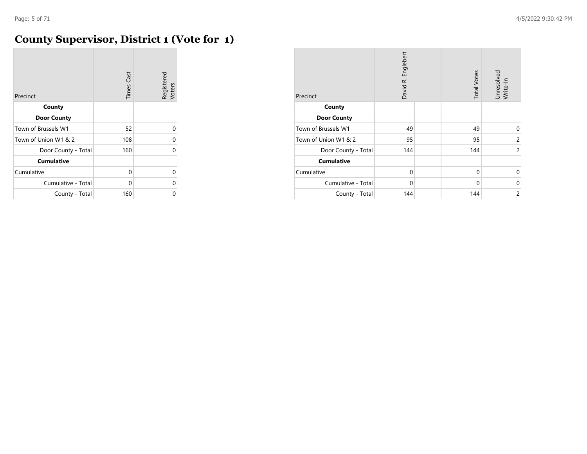# **County Supervisor, District 1 (Vote for 1)**

| Precinct             | <b>Times Cast</b> | Registered<br>Voters |
|----------------------|-------------------|----------------------|
| County               |                   |                      |
| <b>Door County</b>   |                   |                      |
| Town of Brussels W1  | 52                | $\Omega$             |
| Town of Union W1 & 2 | 108               | 0                    |
| Door County - Total  | 160               | $\Omega$             |
| <b>Cumulative</b>    |                   |                      |
| Cumulative           | 0                 | $\Omega$             |
| Cumulative - Total   | 0                 | 0                    |
| County - Total       | 160               | 0                    |

| Precinct             | David R. Englebert | <b>Total Votes</b> | Unresolved<br>Write-In |
|----------------------|--------------------|--------------------|------------------------|
| County               |                    |                    |                        |
| <b>Door County</b>   |                    |                    |                        |
| Town of Brussels W1  | 49                 | 49                 | $\Omega$               |
| Town of Union W1 & 2 | 95                 | 95                 | 2                      |
| Door County - Total  | 144                | 144                | $\overline{c}$         |
| <b>Cumulative</b>    |                    |                    |                        |
| Cumulative           | $\mathbf 0$        | $\mathbf 0$        | 0                      |
| Cumulative - Total   | 0                  | 0                  | 0                      |
| County - Total       | 144                | 144                | $\overline{c}$         |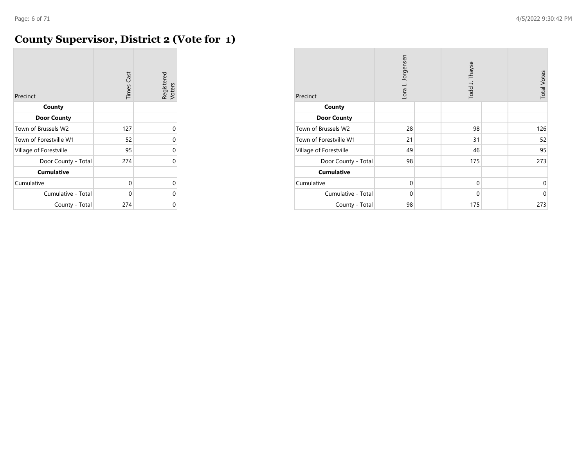#### **County Supervisor, District 2 (Vote for 1)**

| Precinct               | <b>Times Cast</b> | Registered<br>Voters |
|------------------------|-------------------|----------------------|
| County                 |                   |                      |
| <b>Door County</b>     |                   |                      |
| Town of Brussels W2    | 127               | 0                    |
| Town of Forestville W1 | 52                | $\Omega$             |
| Village of Forestville | 95                | $\Omega$             |
| Door County - Total    | 274               | 0                    |
| <b>Cumulative</b>      |                   |                      |
| Cumulative             | 0                 | 0                    |
| Cumulative - Total     | 0                 | 0                    |
| County - Total         | 274               | 0                    |

| Precinct               | Lora L. Jorgensen |  | Todd J. Thayse |  | <b>Total Votes</b> |
|------------------------|-------------------|--|----------------|--|--------------------|
| County                 |                   |  |                |  |                    |
| <b>Door County</b>     |                   |  |                |  |                    |
| Town of Brussels W2    | 28                |  | 98             |  | 126                |
| Town of Forestville W1 | 21                |  | 31             |  | 52                 |
| Village of Forestville | 49                |  | 46             |  | 95                 |
| Door County - Total    | 98                |  | 175            |  | 273                |
| <b>Cumulative</b>      |                   |  |                |  |                    |
| Cumulative             | $\mathbf 0$       |  | $\mathbf 0$    |  | $\mathbf 0$        |
| Cumulative - Total     | $\Omega$          |  | $\mathbf 0$    |  | $\mathbf 0$        |
| County - Total         | 98                |  | 175            |  | 273                |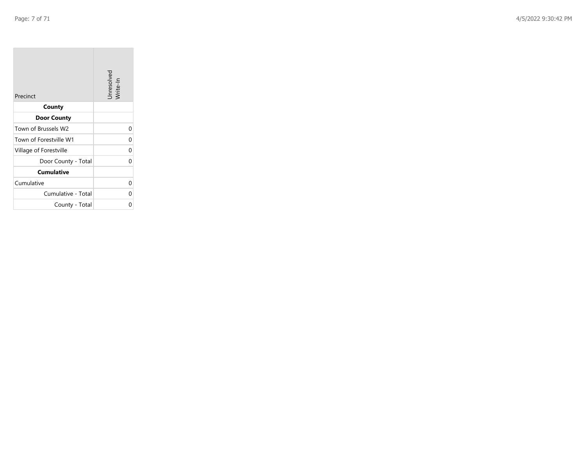**COL** 

| Precinct               | Unresolved<br>Write-In |
|------------------------|------------------------|
| County                 |                        |
| <b>Door County</b>     |                        |
| Town of Brussels W2    | 0                      |
| Town of Forestville W1 | 0                      |
| Village of Forestville | 0                      |
| Door County - Total    | 0                      |
| <b>Cumulative</b>      |                        |
| Cumulative             | 0                      |
| Cumulative - Total     | 0                      |
| County - Total         | ი                      |

 $\sim$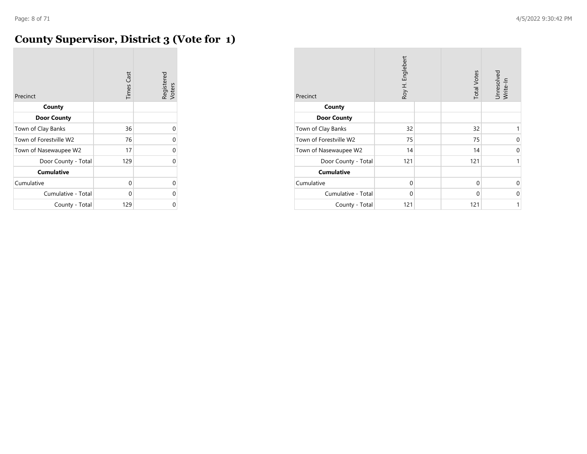#### **County Supervisor, District 3 (Vote for 1)**

| Precinct               | <b>Times Cast</b> | Registered<br>Voters |
|------------------------|-------------------|----------------------|
| County                 |                   |                      |
| <b>Door County</b>     |                   |                      |
| Town of Clay Banks     | 36                | U                    |
| Town of Forestville W2 | 76                | U                    |
| Town of Nasewaupee W2  | 17                | U                    |
| Door County - Total    | 129               | U                    |
| <b>Cumulative</b>      |                   |                      |
| Cumulative             | 0                 | U                    |
| Cumulative - Total     | 0                 | U                    |
| County - Total         | 129               |                      |

| Precinct               | Roy H. Englebert | <b>Total Votes</b> | Unresolved<br>Write-In |
|------------------------|------------------|--------------------|------------------------|
| County                 |                  |                    |                        |
| <b>Door County</b>     |                  |                    |                        |
| Town of Clay Banks     | 32               | 32                 | 1                      |
| Town of Forestville W2 | 75               | 75                 | 0                      |
| Town of Nasewaupee W2  | 14               | 14                 | 0                      |
| Door County - Total    | 121              | 121                | 1                      |
| <b>Cumulative</b>      |                  |                    |                        |
| Cumulative             | $\mathbf 0$      | $\mathbf 0$        | $\Omega$               |
| Cumulative - Total     | 0                | 0                  | 0                      |
| County - Total         | 121              | 121                | 1                      |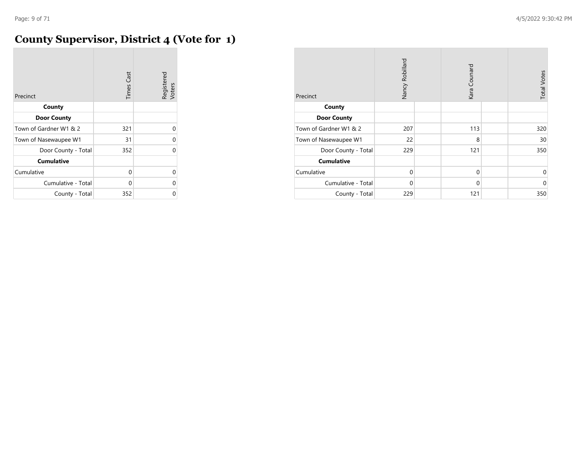# **County Supervisor, District 4 (Vote for 1)**

| Precinct               | <b>Times Cast</b> | Registered<br>Voters |
|------------------------|-------------------|----------------------|
| County                 |                   |                      |
| <b>Door County</b>     |                   |                      |
| Town of Gardner W1 & 2 | 321               | $\Omega$             |
| Town of Nasewaupee W1  | 31                | 0                    |
| Door County - Total    | 352               | $\Omega$             |
| <b>Cumulative</b>      |                   |                      |
| Cumulative             | 0                 | 0                    |
| Cumulative - Total     | 0                 | 0                    |
| County - Total         | 352               | 0                    |

| Precinct               | Nancy Robillard | Kara Counard | <b>Total Votes</b> |
|------------------------|-----------------|--------------|--------------------|
| County                 |                 |              |                    |
| <b>Door County</b>     |                 |              |                    |
| Town of Gardner W1 & 2 | 207             | 113          | 320                |
| Town of Nasewaupee W1  | 22              | 8            | 30                 |
| Door County - Total    | 229             | 121          | 350                |
| <b>Cumulative</b>      |                 |              |                    |
| Cumulative             | $\mathbf 0$     | $\mathbf 0$  | 0                  |
| Cumulative - Total     | 0               | 0            | $\mathbf 0$        |
| County - Total         | 229             | 121          | 350                |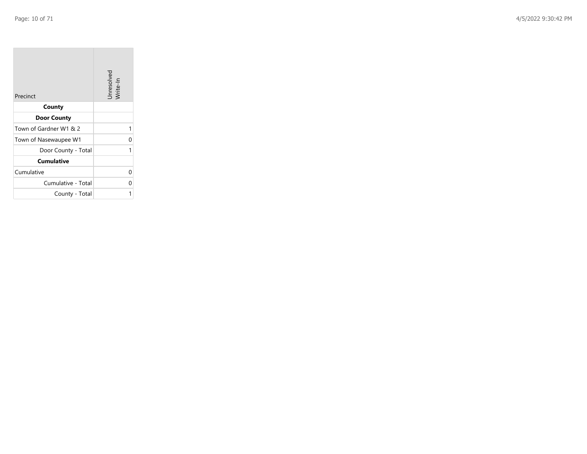**COL** 

| Precinct               | Unresolved<br>Write-In |
|------------------------|------------------------|
| County                 |                        |
| <b>Door County</b>     |                        |
| Town of Gardner W1 & 2 | 1                      |
| Town of Nasewaupee W1  | 0                      |
| Door County - Total    |                        |
| <b>Cumulative</b>      |                        |
| Cumulative             | U                      |
| Cumulative - Total     | U                      |
| County - Total         |                        |

the property of the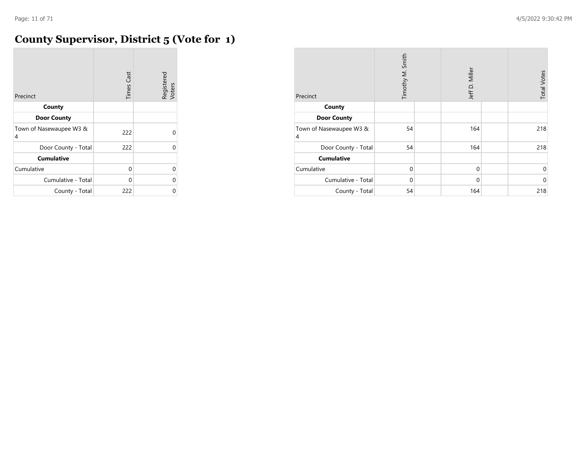#### **County Supervisor, District 5 (Vote for 1)**

| Precinct                     | <b>Times Cast</b> | Registered<br>Voters |
|------------------------------|-------------------|----------------------|
| County                       |                   |                      |
| <b>Door County</b>           |                   |                      |
| Town of Nasewaupee W3 &<br>4 | 222               | 0                    |
| Door County - Total          | 222               | 0                    |
| <b>Cumulative</b>            |                   |                      |
| Cumulative                   | 0                 | $\Omega$             |
| Cumulative - Total           | 0                 | $\Omega$             |
| County - Total               | 222               | 0                    |

| Precinct                                  | Timothy M. Smith | Jeff D. Miller | <b>Total Votes</b> |
|-------------------------------------------|------------------|----------------|--------------------|
| County                                    |                  |                |                    |
| <b>Door County</b>                        |                  |                |                    |
| Town of Nasewaupee W3 &<br>$\overline{4}$ | 54               | 164            | 218                |
| Door County - Total                       | 54               | 164            | 218                |
| <b>Cumulative</b>                         |                  |                |                    |
| Cumulative                                | $\mathbf 0$      | $\mathbf 0$    | 0                  |
| Cumulative - Total                        | $\Omega$         | $\mathbf 0$    | $\mathbf 0$        |
| County - Total                            | 54               | 164            | 218                |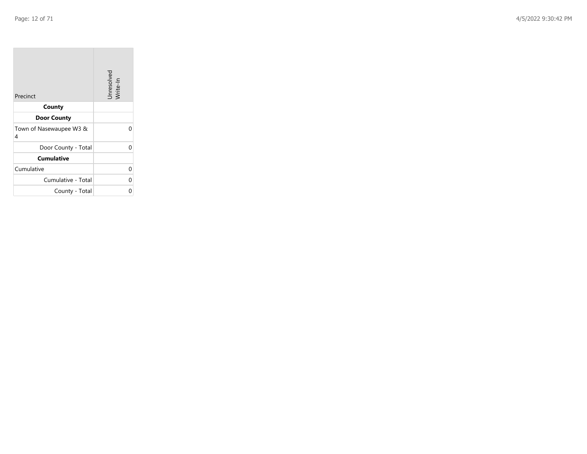$\sim$ 

| Precinct                     | Unresolved<br>Write-In |
|------------------------------|------------------------|
| County                       |                        |
| <b>Door County</b>           |                        |
| Town of Nasewaupee W3 &<br>4 | n                      |
| Door County - Total          | ი                      |
| <b>Cumulative</b>            |                        |
| Cumulative                   | 0                      |
| Cumulative - Total           | 0                      |
| County - Total               |                        |

**Contractor** 

 $\overline{\phantom{a}}$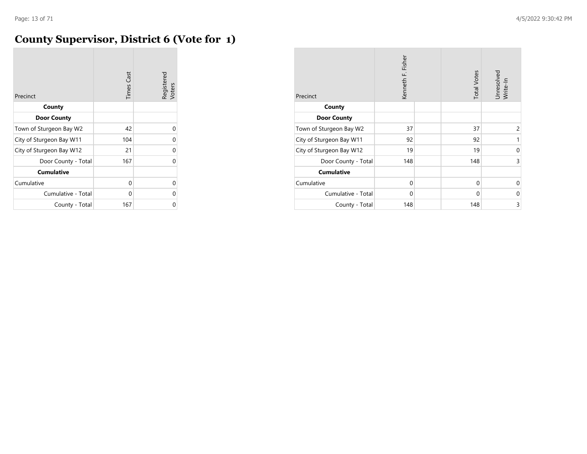#### **County Supervisor, District 6 (Vote for 1)**

| Precinct                 | <b>Times Cast</b> | Registered<br>Voters |
|--------------------------|-------------------|----------------------|
| County                   |                   |                      |
| <b>Door County</b>       |                   |                      |
| Town of Sturgeon Bay W2  | 42                | O                    |
| City of Sturgeon Bay W11 | 104               | 0                    |
| City of Sturgeon Bay W12 | 21                | 0                    |
| Door County - Total      | 167               | U                    |
| <b>Cumulative</b>        |                   |                      |
| Cumulative               | 0                 | O                    |
| Cumulative - Total       | 0                 | U                    |
| County - Total           | 167               | ი                    |

| Precinct                 | Kenneth F. Fisher | <b>Total Votes</b> | Unresolved<br>Write-In |
|--------------------------|-------------------|--------------------|------------------------|
| County                   |                   |                    |                        |
| <b>Door County</b>       |                   |                    |                        |
| Town of Sturgeon Bay W2  | 37                | 37                 | 2                      |
| City of Sturgeon Bay W11 | 92                | 92                 | 1                      |
| City of Sturgeon Bay W12 | 19                | 19                 | 0                      |
| Door County - Total      | 148               | 148                | 3                      |
| <b>Cumulative</b>        |                   |                    |                        |
| Cumulative               | 0                 | 0                  | $\Omega$               |
| Cumulative - Total       | $\mathbf 0$       | 0                  | 0                      |
| County - Total           | 148               | 148                | 3                      |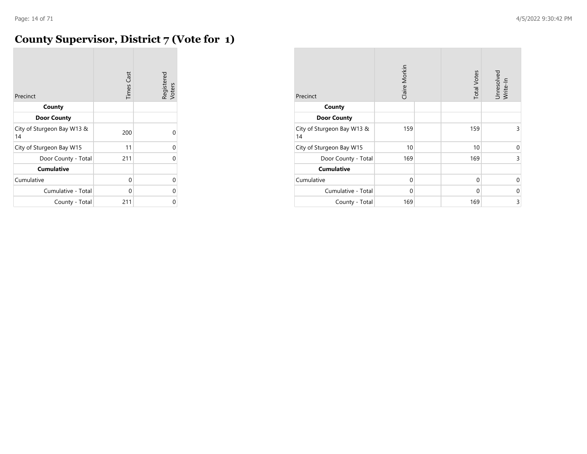#### **County Supervisor, District 7 (Vote for 1)**

| Precinct                         | <b>Times Cast</b> | Registered<br>Voters |
|----------------------------------|-------------------|----------------------|
| County                           |                   |                      |
| <b>Door County</b>               |                   |                      |
| City of Sturgeon Bay W13 &<br>14 | 200               |                      |
| City of Sturgeon Bay W15         | 11                | U                    |
| Door County - Total              | 211               | U                    |
| <b>Cumulative</b>                |                   |                      |
| Cumulative                       | 0                 | U                    |
| Cumulative - Total               | 0                 | U                    |
| County - Total                   | 211               | ი                    |

| Precinct                         | Claire Morkin | <b>Total Votes</b> | Unresolved<br>Write-In |
|----------------------------------|---------------|--------------------|------------------------|
| County                           |               |                    |                        |
| <b>Door County</b>               |               |                    |                        |
| City of Sturgeon Bay W13 &<br>14 | 159           | 159                | 3                      |
| City of Sturgeon Bay W15         | 10            | 10                 | 0                      |
| Door County - Total              | 169           | 169                | 3                      |
| <b>Cumulative</b>                |               |                    |                        |
| Cumulative                       | $\Omega$      | $\mathbf 0$        | $\Omega$               |
| Cumulative - Total               | $\Omega$      | $\mathbf 0$        | 0                      |
| County - Total                   | 169           | 169                | 3                      |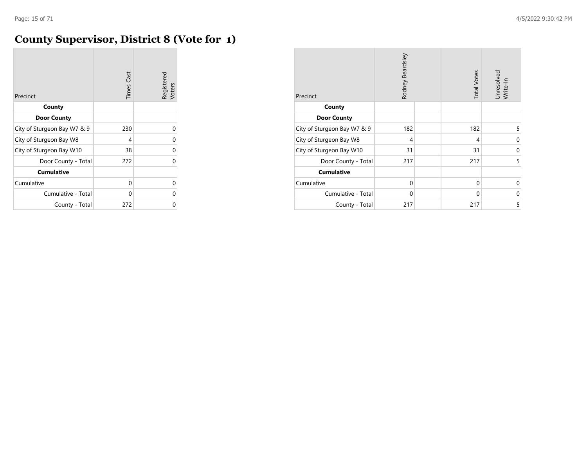#### **County Supervisor, District 8 (Vote for 1)**

| Precinct                    | <b>Times Cast</b> | Registered<br>Voters |
|-----------------------------|-------------------|----------------------|
| County                      |                   |                      |
| <b>Door County</b>          |                   |                      |
| City of Sturgeon Bay W7 & 9 | 230               | U                    |
| City of Sturgeon Bay W8     | 4                 | U                    |
| City of Sturgeon Bay W10    | 38                | U                    |
| Door County - Total         | 272               | U                    |
| <b>Cumulative</b>           |                   |                      |
| Cumulative                  | 0                 | U                    |
| Cumulative - Total          | 0                 | በ                    |
| County - Total              | 272               |                      |

| Precinct                    | Rodney Beardsley | <b>Total Votes</b> | Unresolved<br>Write-In |
|-----------------------------|------------------|--------------------|------------------------|
| County                      |                  |                    |                        |
| <b>Door County</b>          |                  |                    |                        |
| City of Sturgeon Bay W7 & 9 | 182              | 182                | 5                      |
| City of Sturgeon Bay W8     | 4                | 4                  | 0                      |
| City of Sturgeon Bay W10    | 31               | 31                 | 0                      |
| Door County - Total         | 217              | 217                | 5                      |
| <b>Cumulative</b>           |                  |                    |                        |
| Cumulative                  | $\mathbf 0$      | $\mathbf 0$        | $\Omega$               |
| Cumulative - Total          | $\Omega$         | $\mathbf 0$        | 0                      |
| County - Total              | 217              | 217                | 5                      |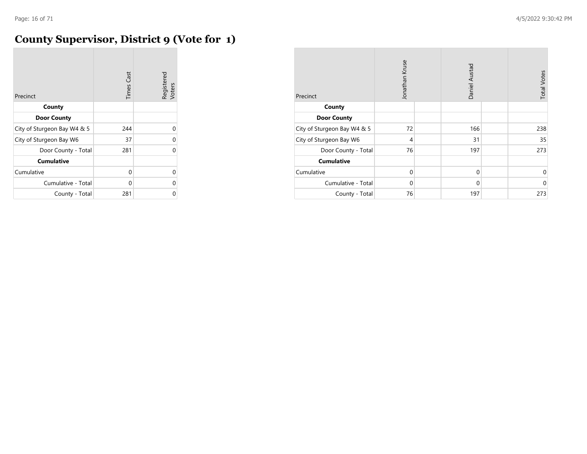# **County Supervisor, District 9 (Vote for 1)**

| Precinct                    | <b>Times Cast</b> | Registered<br>Voters |
|-----------------------------|-------------------|----------------------|
| County                      |                   |                      |
| <b>Door County</b>          |                   |                      |
| City of Sturgeon Bay W4 & 5 | 244               | 0                    |
| City of Sturgeon Bay W6     | 37                | U                    |
| Door County - Total         | 281               | U                    |
| <b>Cumulative</b>           |                   |                      |
| Cumulative                  | 0                 | U                    |
| Cumulative - Total          | 0                 | U                    |
| County - Total              | 281               | 0                    |

| Precinct                    | Jonathan Kruse | Daniel Austad | <b>Total Votes</b> |
|-----------------------------|----------------|---------------|--------------------|
| County                      |                |               |                    |
| <b>Door County</b>          |                |               |                    |
| City of Sturgeon Bay W4 & 5 | 72             | 166           | 238                |
| City of Sturgeon Bay W6     | 4              | 31            | 35                 |
| Door County - Total         | 76             | 197           | 273                |
| <b>Cumulative</b>           |                |               |                    |
| Cumulative                  | $\mathbf 0$    | $\mathbf 0$   | 0                  |
| Cumulative - Total          | 0              | 0             | $\Omega$           |
| County - Total              | 76             | 197           | 273                |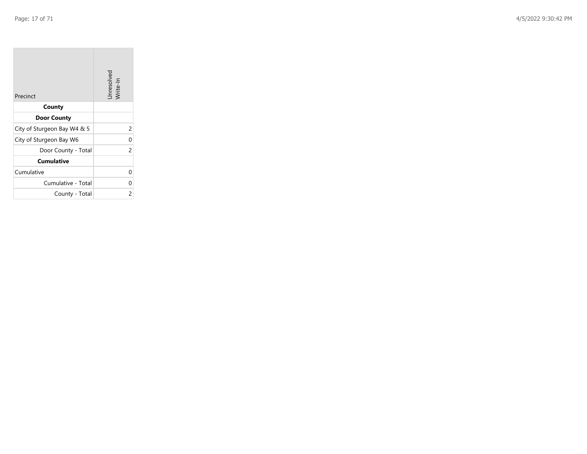$\sim$ 

| Precinct                    | Unresolved<br>Write-In |
|-----------------------------|------------------------|
| County                      |                        |
| <b>Door County</b>          |                        |
| City of Sturgeon Bay W4 & 5 | 2                      |
| City of Sturgeon Bay W6     | 0                      |
| Door County - Total         | 2                      |
| <b>Cumulative</b>           |                        |
| Cumulative                  | 0                      |
| Cumulative - Total          | 0                      |
| County - Total              | 2                      |

the company of

 $\overline{\phantom{a}}$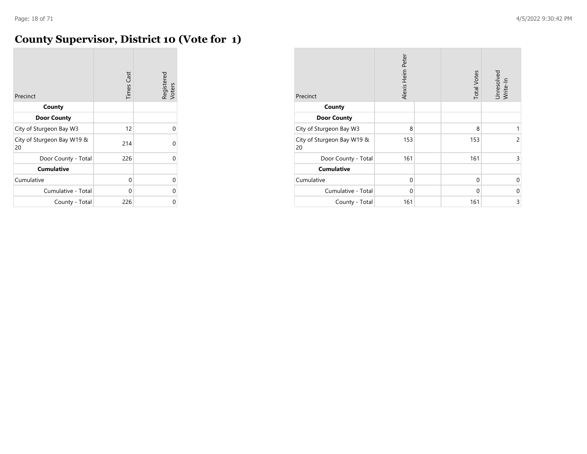#### **County Supervisor, District 10 (Vote for 1)**

| Precinct                         | <b>Times Cast</b> | Registered<br>Voters |
|----------------------------------|-------------------|----------------------|
| County                           |                   |                      |
| <b>Door County</b>               |                   |                      |
| City of Sturgeon Bay W3          | 12                | U                    |
| City of Sturgeon Bay W19 &<br>20 | 214               | U                    |
| Door County - Total              | 226               | 0                    |
| <b>Cumulative</b>                |                   |                      |
| Cumulative                       | 0                 | 0                    |
| Cumulative - Total               | 0                 | U                    |
| County - Total                   | 226               | 0                    |

| Precinct                         | Alexis Heim Peter | <b>Total Votes</b> | Unresolved<br>Write-In |
|----------------------------------|-------------------|--------------------|------------------------|
| County                           |                   |                    |                        |
| <b>Door County</b>               |                   |                    |                        |
| City of Sturgeon Bay W3          | 8                 | 8                  | 1                      |
| City of Sturgeon Bay W19 &<br>20 | 153               | 153                | $\overline{c}$         |
| Door County - Total              | 161               | 161                | 3                      |
| <b>Cumulative</b>                |                   |                    |                        |
| Cumulative                       | $\Omega$          | $\Omega$           | 0                      |
| Cumulative - Total               | $\Omega$          | $\Omega$           | 0                      |
| County - Total                   | 161               | 161                | 3                      |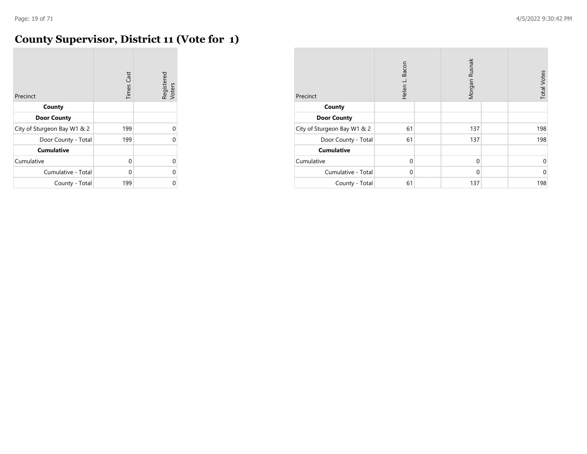**COL** 

# **County Supervisor, District 11 (Vote for 1)**

| Precinct                    | <b>Times Cast</b> | Registered<br>Voters |
|-----------------------------|-------------------|----------------------|
| County                      |                   |                      |
| <b>Door County</b>          |                   |                      |
| City of Sturgeon Bay W1 & 2 | 199               | $\Omega$             |
| Door County - Total         | 199               | O                    |
| <b>Cumulative</b>           |                   |                      |
| Cumulative                  | $\Omega$          | $\Omega$             |
| Cumulative - Total          | 0                 | 0                    |
| County - Total              | 199               | 0                    |

| Precinct                    | Bacon<br>Helen L. | Morgan Rusnak | <b>Total Votes</b> |
|-----------------------------|-------------------|---------------|--------------------|
| County                      |                   |               |                    |
| <b>Door County</b>          |                   |               |                    |
| City of Sturgeon Bay W1 & 2 | 61                | 137           | 198                |
| Door County - Total         | 61                | 137           | 198                |
| <b>Cumulative</b>           |                   |               |                    |
| Cumulative                  | $\mathbf 0$       | $\Omega$      | $\mathbf 0$        |
| Cumulative - Total          | $\Omega$          | $\Omega$      | $\mathbf 0$        |
| County - Total              | 61                | 137           | 198                |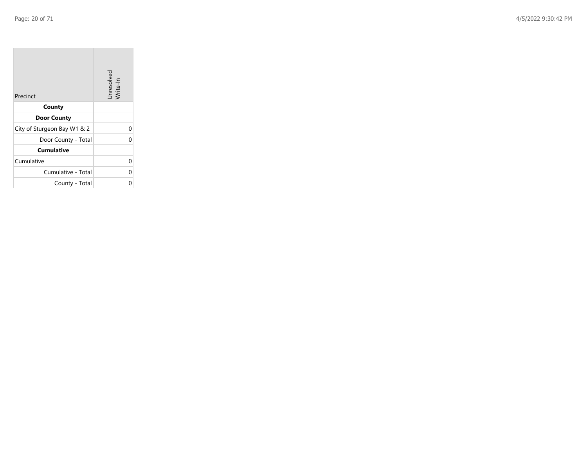$\sim$ 

| Precinct                    | Unresolved<br>Write-In |
|-----------------------------|------------------------|
| County                      |                        |
| <b>Door County</b>          |                        |
| City of Sturgeon Bay W1 & 2 | 0                      |
| Door County - Total         | O                      |
| <b>Cumulative</b>           |                        |
| Cumulative                  | 0                      |
| Cumulative - Total          | 0                      |
| County - Total              | U                      |

**Contract Contract** 

 $\overline{\phantom{a}}$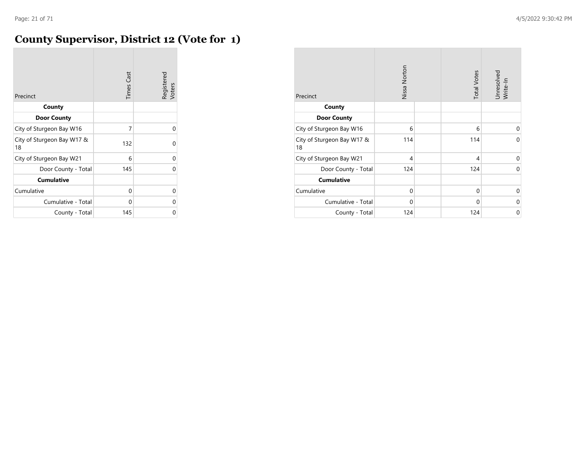#### **County Supervisor, District 12 (Vote for 1)**

| Precinct                         | <b>Times Cast</b> | Registered<br>Voters |
|----------------------------------|-------------------|----------------------|
| County                           |                   |                      |
| <b>Door County</b>               |                   |                      |
| City of Sturgeon Bay W16         | 7                 | 0                    |
| City of Sturgeon Bay W17 &<br>18 | 132               | U                    |
| City of Sturgeon Bay W21         | 6                 | 0                    |
| Door County - Total              | 145               | U                    |
| <b>Cumulative</b>                |                   |                      |
| Cumulative                       | 0                 | 0                    |
| Cumulative - Total               | 0                 | U                    |
| County - Total                   | 145               | 0                    |

| Precinct                         | Nissa Norton | <b>Total Votes</b> | Unresolved<br>Write-In |
|----------------------------------|--------------|--------------------|------------------------|
| County                           |              |                    |                        |
| <b>Door County</b>               |              |                    |                        |
| City of Sturgeon Bay W16         | 6            | 6                  | 0                      |
| City of Sturgeon Bay W17 &<br>18 | 114          | 114                | $\Omega$               |
| City of Sturgeon Bay W21         | 4            | 4                  | $\Omega$               |
| Door County - Total              | 124          | 124                | 0                      |
| <b>Cumulative</b>                |              |                    |                        |
| Cumulative                       | 0            | 0                  | 0                      |
| Cumulative - Total               | $\Omega$     | $\Omega$           | 0                      |
| County - Total                   | 124          | 124                | 0                      |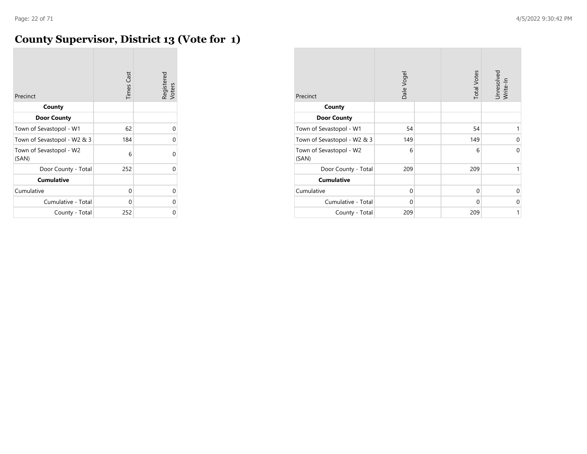# **County Supervisor, District 13 (Vote for 1)**

| Precinct                         | <b>Times Cast</b> | Registered<br>Voters |
|----------------------------------|-------------------|----------------------|
| County                           |                   |                      |
| <b>Door County</b>               |                   |                      |
| Town of Sevastopol - W1          | 62                | U                    |
| Town of Sevastopol - W2 & 3      | 184               | U                    |
| Town of Sevastopol - W2<br>(SAN) | 6                 | U                    |
| Door County - Total              | 252               | U                    |
| <b>Cumulative</b>                |                   |                      |
| Cumulative                       | 0                 | U                    |
| Cumulative - Total               | 0                 | U                    |
| County - Total                   | 252               | Ω                    |

| Precinct                         | Dale Vogel | <b>Total Votes</b> | Unresolved<br>Write-In |
|----------------------------------|------------|--------------------|------------------------|
| County                           |            |                    |                        |
| <b>Door County</b>               |            |                    |                        |
| Town of Sevastopol - W1          | 54         | 54                 | 1                      |
| Town of Sevastopol - W2 & 3      | 149        | 149                | $\Omega$               |
| Town of Sevastopol - W2<br>(SAN) | 6          | 6                  | $\Omega$               |
| Door County - Total              | 209        | 209                | 1                      |
| <b>Cumulative</b>                |            |                    |                        |
| Cumulative                       | 0          | 0                  | 0                      |
| Cumulative - Total               | $\Omega$   | $\Omega$           | 0                      |
| County - Total                   | 209        | 209                | $\mathbf{1}$           |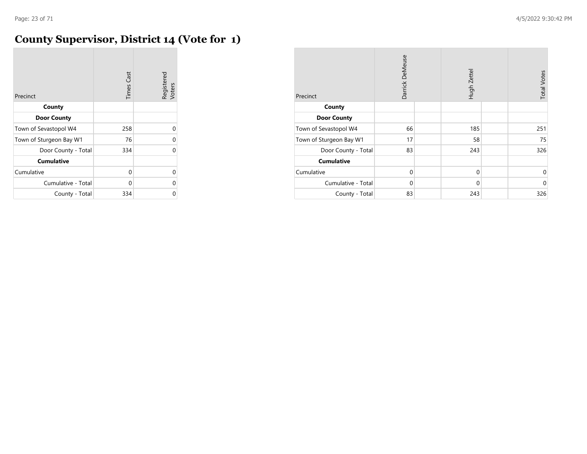# **County Supervisor, District 14 (Vote for 1)**

| Precinct                | <b>Times Cast</b> | Registered<br>Voters |
|-------------------------|-------------------|----------------------|
| County                  |                   |                      |
| <b>Door County</b>      |                   |                      |
| Town of Sevastopol W4   | 258               | U                    |
| Town of Sturgeon Bay W1 | 76                | U                    |
| Door County - Total     | 334               | 0                    |
| <b>Cumulative</b>       |                   |                      |
| Cumulative              | 0                 | 0                    |
| Cumulative - Total      | 0                 | 0                    |
| County - Total          | 334               |                      |

| Precinct                | Darrick DeMeuse | Hugh Zettel | <b>Total Votes</b> |
|-------------------------|-----------------|-------------|--------------------|
| County                  |                 |             |                    |
| <b>Door County</b>      |                 |             |                    |
| Town of Sevastopol W4   | 66              | 185         | 251                |
| Town of Sturgeon Bay W1 | 17              | 58          | 75                 |
| Door County - Total     | 83              | 243         | 326                |
| <b>Cumulative</b>       |                 |             |                    |
| Cumulative              | $\mathbf 0$     | $\mathbf 0$ | 0                  |
| Cumulative - Total      | $\Omega$        | $\mathbf 0$ | $\mathbf 0$        |
| County - Total          | 83              | 243         | 326                |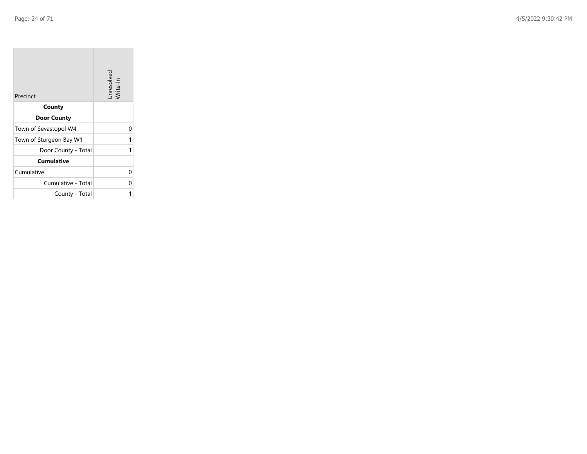**COL** 

| Precinct                | Unresolved<br>Write-In |
|-------------------------|------------------------|
| County                  |                        |
| <b>Door County</b>      |                        |
| Town of Sevastopol W4   | U                      |
| Town of Sturgeon Bay W1 | 1                      |
| Door County - Total     | 1                      |
| <b>Cumulative</b>       |                        |
| Cumulative              | U                      |
| Cumulative - Total      |                        |
| County - Total          |                        |

the company of the company

 $\sim$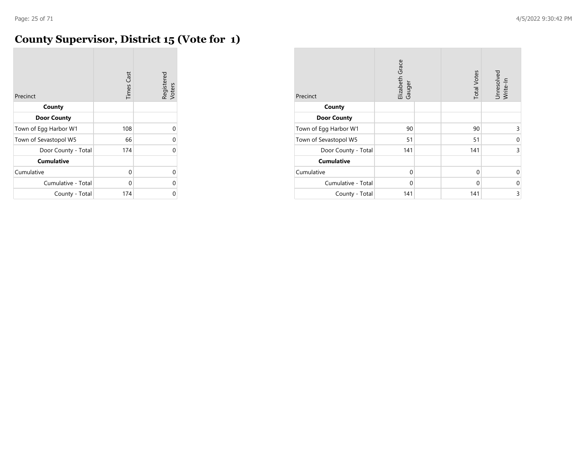# **County Supervisor, District 15 (Vote for 1)**

| Precinct              | <b>Times Cast</b> | Registered<br>Voters |
|-----------------------|-------------------|----------------------|
| County                |                   |                      |
| <b>Door County</b>    |                   |                      |
| Town of Egg Harbor W1 | 108               | 0                    |
| Town of Sevastopol W5 | 66                | 0                    |
| Door County - Total   | 174               | $\Omega$             |
| <b>Cumulative</b>     |                   |                      |
| Cumulative            | 0                 | $\Omega$             |
| Cumulative - Total    | 0                 | $\Omega$             |
| County - Total        | 174               | 0                    |

| Precinct              | Elizabeth Grace<br>Gauger | <b>Total Votes</b> | Unresolved<br>Write-In |
|-----------------------|---------------------------|--------------------|------------------------|
| County                |                           |                    |                        |
| <b>Door County</b>    |                           |                    |                        |
| Town of Egg Harbor W1 | 90                        | 90                 | 3                      |
| Town of Sevastopol W5 | 51                        | 51                 | 0                      |
| Door County - Total   | 141                       | 141                | 3                      |
| <b>Cumulative</b>     |                           |                    |                        |
| Cumulative            | 0                         | 0                  | 0                      |
| Cumulative - Total    | 0                         | 0                  | 0                      |
| County - Total        | 141                       | 141                | 3                      |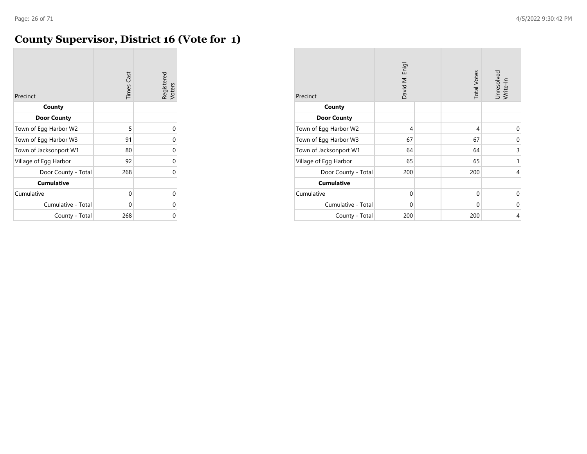#### **County Supervisor, District 16 (Vote for 1)**

| Precinct               | <b>Times Cast</b> | Registered<br>Voters |
|------------------------|-------------------|----------------------|
| County                 |                   |                      |
| <b>Door County</b>     |                   |                      |
| Town of Egg Harbor W2  | 5                 | 0                    |
| Town of Egg Harbor W3  | 91                | 0                    |
| Town of Jacksonport W1 | 80                | 0                    |
| Village of Egg Harbor  | 92                | 0                    |
| Door County - Total    | 268               | U                    |
| <b>Cumulative</b>      |                   |                      |
| Cumulative             | 0                 | 0                    |
| Cumulative - Total     | 0                 | 0                    |
| County - Total         | 268               | 0                    |

| Precinct               | David M. Enigl | <b>Total Votes</b> | Unresolved<br>Write-In |
|------------------------|----------------|--------------------|------------------------|
| County                 |                |                    |                        |
| <b>Door County</b>     |                |                    |                        |
| Town of Egg Harbor W2  | 4              | 4                  | $\Omega$               |
| Town of Egg Harbor W3  | 67             | 67                 | 0                      |
| Town of Jacksonport W1 | 64             | 64                 | 3                      |
| Village of Egg Harbor  | 65             | 65                 | 1                      |
| Door County - Total    | 200            | 200                | 4                      |
| <b>Cumulative</b>      |                |                    |                        |
| Cumulative             | $\mathbf 0$    | $\mathbf 0$        | 0                      |
| Cumulative - Total     | $\mathbf 0$    | $\mathbf 0$        | $\Omega$               |
| County - Total         | 200            | 200                | 4                      |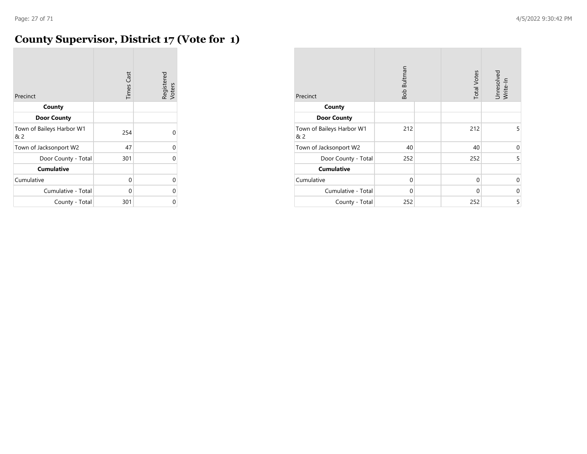#### **County Supervisor, District 17 (Vote for 1)**

| Precinct                         | <b>Times Cast</b> | Registered<br>Voters |
|----------------------------------|-------------------|----------------------|
| County                           |                   |                      |
| <b>Door County</b>               |                   |                      |
| Town of Baileys Harbor W1<br>& 2 | 254               | U                    |
| Town of Jacksonport W2           | 47                | 0                    |
| Door County - Total              | 301               | U                    |
| <b>Cumulative</b>                |                   |                      |
| Cumulative                       | 0                 | 0                    |
| Cumulative - Total               | 0                 | U                    |
| County - Total                   | 301               | 0                    |

| Precinct                         | Bob Bultman | <b>Total Votes</b> | Unresolved<br>Write-In |
|----------------------------------|-------------|--------------------|------------------------|
| County                           |             |                    |                        |
| <b>Door County</b>               |             |                    |                        |
| Town of Baileys Harbor W1<br>& 2 | 212         | 212                | 5                      |
| Town of Jacksonport W2           | 40          | 40                 | 0                      |
| Door County - Total              | 252         | 252                | 5                      |
| <b>Cumulative</b>                |             |                    |                        |
| Cumulative                       | $\Omega$    | $\Omega$           | $\Omega$               |
| Cumulative - Total               | $\Omega$    | $\Omega$           | 0                      |
| County - Total                   | 252         | 252                | 5                      |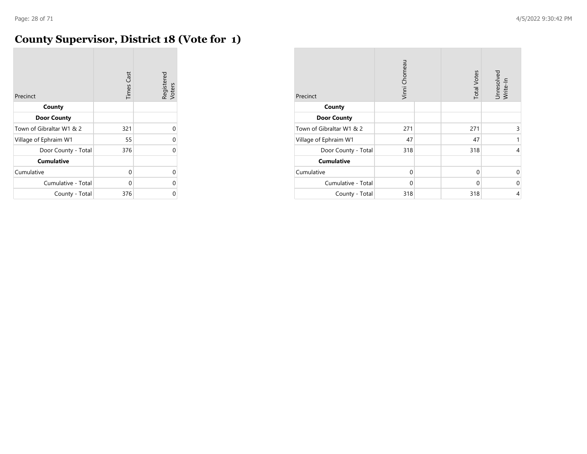# **County Supervisor, District 18 (Vote for 1)**

| Precinct                 | <b>Times Cast</b> | Registered<br>Voters |
|--------------------------|-------------------|----------------------|
| County                   |                   |                      |
| <b>Door County</b>       |                   |                      |
| Town of Gibraltar W1 & 2 | 321               | 0                    |
| Village of Ephraim W1    | 55                | 0                    |
| Door County - Total      | 376               | $\Omega$             |
| <b>Cumulative</b>        |                   |                      |
| Cumulative               | 0                 | 0                    |
| Cumulative - Total       | 0                 | 0                    |
| County - Total           | 376               | U                    |

| Precinct                 | Vinni Chomeau | <b>Total Votes</b> | Unresolved<br>Write-In |
|--------------------------|---------------|--------------------|------------------------|
| County                   |               |                    |                        |
| <b>Door County</b>       |               |                    |                        |
| Town of Gibraltar W1 & 2 | 271           | 271                | 3                      |
| Village of Ephraim W1    | 47            | 47                 | 1                      |
| Door County - Total      | 318           | 318                | 4                      |
| <b>Cumulative</b>        |               |                    |                        |
| Cumulative               | $\mathbf 0$   | $\mathbf 0$        | 0                      |
| Cumulative - Total       | 0             | 0                  | 0                      |
| County - Total           | 318           | 318                | 4                      |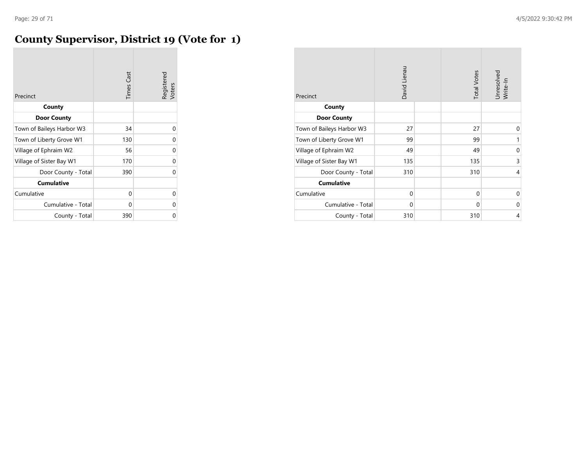# **County Supervisor, District 19 (Vote for 1)**

| Precinct                  | <b>Times Cast</b> | Registered<br>Voters |
|---------------------------|-------------------|----------------------|
| County                    |                   |                      |
| <b>Door County</b>        |                   |                      |
| Town of Baileys Harbor W3 | 34                | 0                    |
| Town of Liberty Grove W1  | 130               | 0                    |
| Village of Ephraim W2     | 56                | 0                    |
| Village of Sister Bay W1  | 170               | U                    |
| Door County - Total       | 390               | U                    |
| <b>Cumulative</b>         |                   |                      |
| Cumulative                | 0                 | U                    |
| Cumulative - Total        | 0                 | U                    |
| County - Total            | 390               | ი                    |

| Precinct                  | David Lienau | <b>Total Votes</b> | Unresolved<br>Write-In |
|---------------------------|--------------|--------------------|------------------------|
| County                    |              |                    |                        |
| <b>Door County</b>        |              |                    |                        |
| Town of Baileys Harbor W3 | 27           | 27                 | 0                      |
| Town of Liberty Grove W1  | 99           | 99                 | 1                      |
| Village of Ephraim W2     | 49           | 49                 | 0                      |
| Village of Sister Bay W1  | 135          | 135                | 3                      |
| Door County - Total       | 310          | 310                | 4                      |
| <b>Cumulative</b>         |              |                    |                        |
| Cumulative                | 0            | 0                  | 0                      |
| Cumulative - Total        | $\mathbf 0$  | 0                  | 0                      |
| County - Total            | 310          | 310                | 4                      |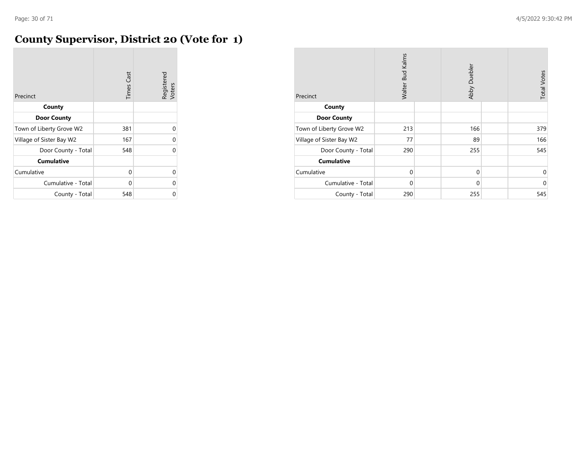# **County Supervisor, District 20 (Vote for 1)**

| Precinct                 | <b>Times Cast</b> | Registered<br>Voters |
|--------------------------|-------------------|----------------------|
| County                   |                   |                      |
| <b>Door County</b>       |                   |                      |
| Town of Liberty Grove W2 | 381               | 0                    |
| Village of Sister Bay W2 | 167               | 0                    |
| Door County - Total      | 548               | 0                    |
| <b>Cumulative</b>        |                   |                      |
| Cumulative               | 0                 | 0                    |
| Cumulative - Total       | 0                 | 0                    |
| County - Total           | 548               | 0                    |

| Precinct                 | Walter Bud Kalms | Abby Duebler | <b>Total Votes</b> |
|--------------------------|------------------|--------------|--------------------|
| County                   |                  |              |                    |
| <b>Door County</b>       |                  |              |                    |
| Town of Liberty Grove W2 | 213              | 166          | 379                |
| Village of Sister Bay W2 | 77               | 89           | 166                |
| Door County - Total      | 290              | 255          | 545                |
| <b>Cumulative</b>        |                  |              |                    |
| Cumulative               | $\Omega$         | $\mathbf 0$  | 0                  |
| Cumulative - Total       | $\mathbf 0$      | $\mathbf 0$  | $\mathbf 0$        |
| County - Total           | 290              | 255          | 545                |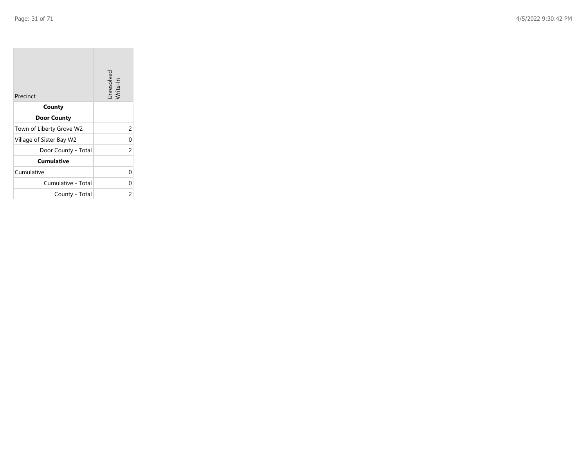$\sim$ 

| Precinct                 | Unresolved<br>Write-In |
|--------------------------|------------------------|
| County                   |                        |
| <b>Door County</b>       |                        |
| Town of Liberty Grove W2 | 2                      |
| Village of Sister Bay W2 | 0                      |
| Door County - Total      | 2                      |
| <b>Cumulative</b>        |                        |
| Cumulative               | U                      |
| Cumulative - Total       | 0                      |
| County - Total           | 2                      |

**Contract** 

 $\overline{\phantom{a}}$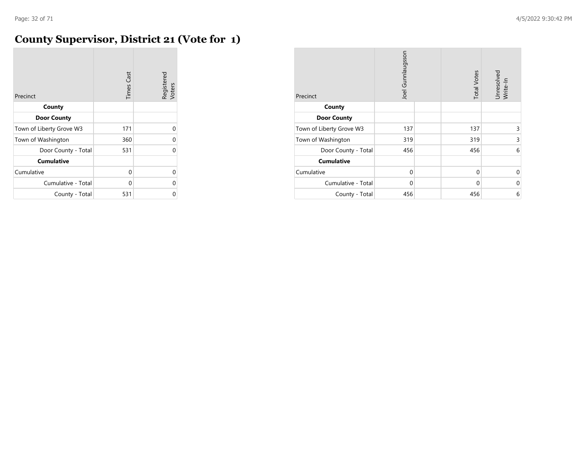#### **County Supervisor, District 21 (Vote for 1)**

| Precinct                 | <b>Times Cast</b> | Registered<br>Voters |
|--------------------------|-------------------|----------------------|
| County                   |                   |                      |
| <b>Door County</b>       |                   |                      |
| Town of Liberty Grove W3 | 171               | 0                    |
| Town of Washington       | 360               | U                    |
| Door County - Total      | 531               | U                    |
| <b>Cumulative</b>        |                   |                      |
| Cumulative               | 0                 | 0                    |
| Cumulative - Total       | 0                 | 0                    |
| County - Total           | 531               | 0                    |

| Precinct                 | Joel Gunnlaugsson |  | <b>Total Votes</b> | Unresolved<br>Write-In |
|--------------------------|-------------------|--|--------------------|------------------------|
| County                   |                   |  |                    |                        |
| <b>Door County</b>       |                   |  |                    |                        |
| Town of Liberty Grove W3 | 137               |  | 137                | 3                      |
| Town of Washington       | 319               |  | 319                | 3                      |
| Door County - Total      | 456               |  | 456                | 6                      |
| <b>Cumulative</b>        |                   |  |                    |                        |
| Cumulative               | $\mathbf 0$       |  | 0                  | $\Omega$               |
| Cumulative - Total       | 0                 |  | $\Omega$           | $\Omega$               |
| County - Total           | 456               |  | 456                | 6                      |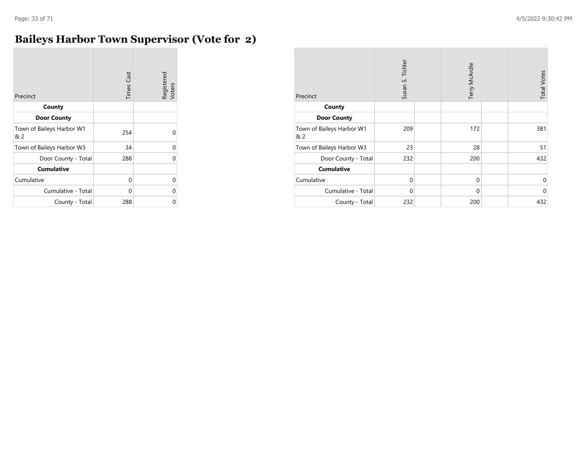#### **Baileys Harbor Town Supervisor (Vote for 2)**

| Precinct                         | <b>Times Cast</b> | Registered<br>Voters |
|----------------------------------|-------------------|----------------------|
| County                           |                   |                      |
| <b>Door County</b>               |                   |                      |
| Town of Baileys Harbor W1<br>& 2 | 254               | 0                    |
| Town of Baileys Harbor W3        | 34                | 0                    |
| Door County - Total              | 288               | 0                    |
| <b>Cumulative</b>                |                   |                      |
| Cumulative                       | 0                 | 0                    |
| Cumulative - Total               | 0                 | 0                    |
| County - Total                   | 288               | 0                    |

| Precinct                         | Susan S. Tishler | Terry McArdle | <b>Total Votes</b> |
|----------------------------------|------------------|---------------|--------------------|
| County                           |                  |               |                    |
| <b>Door County</b>               |                  |               |                    |
| Town of Baileys Harbor W1<br>& 2 | 209              | 172           | 381                |
| Town of Baileys Harbor W3        | 23               | 28            | 51                 |
| Door County - Total              | 232              | 200           | 432                |
| <b>Cumulative</b>                |                  |               |                    |
| Cumulative                       | $\Omega$         | 0             | 0                  |
| Cumulative - Total               | $\Omega$         | 0             | $\mathbf 0$        |
| County - Total                   | 232              | 200           | 432                |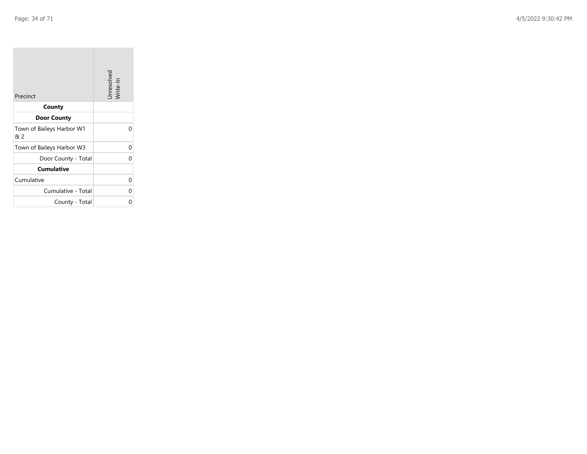**COL** 

| Precinct                         | Unresolved<br>Write-In |
|----------------------------------|------------------------|
| County                           |                        |
| <b>Door County</b>               |                        |
| Town of Baileys Harbor W1<br>& 2 |                        |
| Town of Baileys Harbor W3        | U                      |
| Door County - Total              | n                      |
| <b>Cumulative</b>                |                        |
| Cumulative                       | U                      |
| Cumulative - Total               | U                      |
| County - Total                   |                        |

the property of the

 $\sim$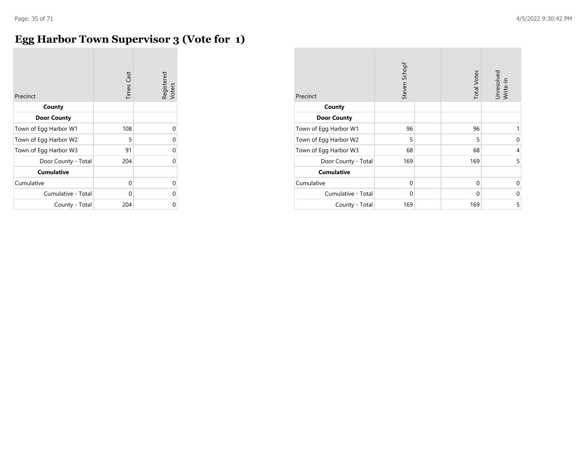# **Egg Harbor Town Supervisor 3 (Vote for 1)**

| Precinct              | <b>Times Cast</b> | Registered<br>Voters |
|-----------------------|-------------------|----------------------|
| County                |                   |                      |
| <b>Door County</b>    |                   |                      |
| Town of Egg Harbor W1 | 108               | 0                    |
| Town of Egg Harbor W2 | 5                 | 0                    |
| Town of Egg Harbor W3 | 91                | 0                    |
| Door County - Total   | 204               | 0                    |
| <b>Cumulative</b>     |                   |                      |
| Cumulative            | 0                 | 0                    |
| Cumulative - Total    | 0                 | 0                    |
| County - Total        | 204               | U                    |

| Precinct              | Steven Schopf | <b>Total Votes</b> | Unresolved<br>Write-In |
|-----------------------|---------------|--------------------|------------------------|
| County                |               |                    |                        |
| <b>Door County</b>    |               |                    |                        |
| Town of Egg Harbor W1 | 96            | 96                 | 1                      |
| Town of Egg Harbor W2 | 5             | 5                  | 0                      |
| Town of Egg Harbor W3 | 68            | 68                 | 4                      |
| Door County - Total   | 169           | 169                | 5                      |
| <b>Cumulative</b>     |               |                    |                        |
| Cumulative            | 0             | 0                  | $\Omega$               |
| Cumulative - Total    | 0             | $\mathbf 0$        | 0                      |
| County - Total        | 169           | 169                | 5                      |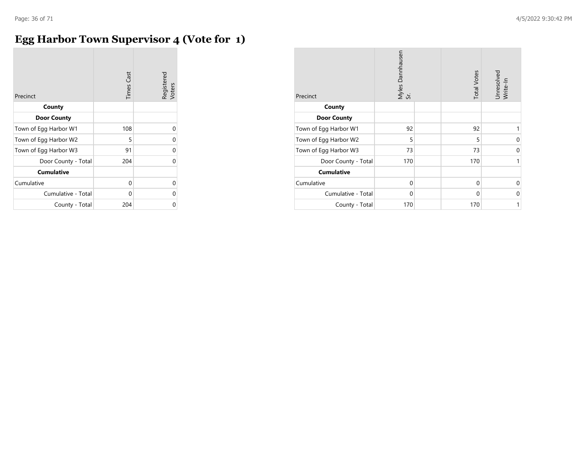# **Egg Harbor Town Supervisor 4 (Vote for 1)**

| Precinct              | <b>Times Cast</b> | Registered<br>Voters |
|-----------------------|-------------------|----------------------|
| County                |                   |                      |
| <b>Door County</b>    |                   |                      |
| Town of Egg Harbor W1 | 108               | 0                    |
| Town of Egg Harbor W2 | 5                 | $\Omega$             |
| Town of Egg Harbor W3 | 91                | $\Omega$             |
| Door County - Total   | 204               | $\Omega$             |
| <b>Cumulative</b>     |                   |                      |
| Cumulative            | 0                 | 0                    |
| Cumulative - Total    | 0                 | 0                    |
| County - Total        | 204               | U                    |

| Precinct              | Myles Dannhausen<br>Sr. |  | <b>Total Votes</b> | Unresolved<br>Write-In |
|-----------------------|-------------------------|--|--------------------|------------------------|
| County                |                         |  |                    |                        |
| <b>Door County</b>    |                         |  |                    |                        |
| Town of Egg Harbor W1 | 92                      |  | 92                 | 1                      |
| Town of Egg Harbor W2 | 5                       |  | 5                  | 0                      |
| Town of Egg Harbor W3 | 73                      |  | 73                 | 0                      |
| Door County - Total   | 170                     |  | 170                | 1                      |
| <b>Cumulative</b>     |                         |  |                    |                        |
| Cumulative            | 0                       |  | 0                  | $\Omega$               |
| Cumulative - Total    | 0                       |  | $\mathbf 0$        | 0                      |
| County - Total        | 170                     |  | 170                | 1                      |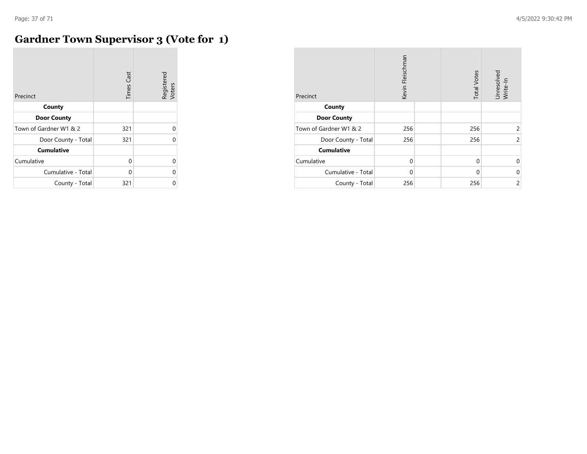**COL** 

# **Gardner Town Supervisor 3 (Vote for 1)**

| Precinct               | <b>Times Cast</b> | Registered<br>Voters |
|------------------------|-------------------|----------------------|
| County                 |                   |                      |
| <b>Door County</b>     |                   |                      |
| Town of Gardner W1 & 2 | 321               | 0                    |
| Door County - Total    | 321               | C                    |
| <b>Cumulative</b>      |                   |                      |
| Cumulative             | $\Omega$          | 0                    |
| Cumulative - Total     | U                 | U                    |
| County - Total         | 321               | U                    |

| Precinct               | Kevin Fleischman | <b>Total Votes</b> | Unresolved<br>Write-In |
|------------------------|------------------|--------------------|------------------------|
| County                 |                  |                    |                        |
| <b>Door County</b>     |                  |                    |                        |
| Town of Gardner W1 & 2 | 256              | 256                | $\overline{c}$         |
| Door County - Total    | 256              | 256                | $\overline{c}$         |
| <b>Cumulative</b>      |                  |                    |                        |
| Cumulative             | $\Omega$         | $\Omega$           | $\mathbf 0$            |
| Cumulative - Total     | $\Omega$         | $\Omega$           | $\mathbf 0$            |
| County - Total         | 256              | 256                | $\overline{c}$         |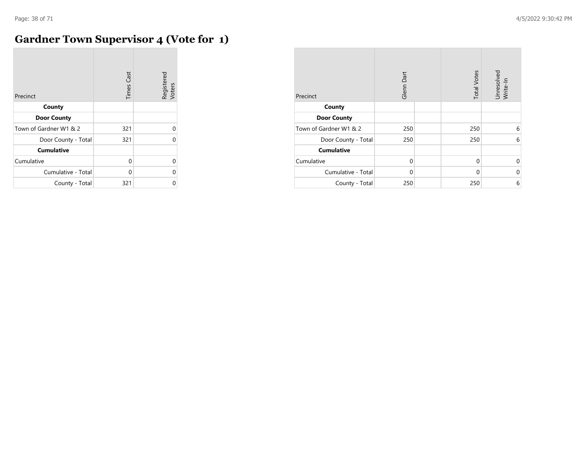**COL** 

# **Gardner Town Supervisor 4 (Vote for 1)**

| Precinct               | <b>Times Cast</b> | Registered<br>Voters |
|------------------------|-------------------|----------------------|
| County                 |                   |                      |
| <b>Door County</b>     |                   |                      |
| Town of Gardner W1 & 2 | 321               | 0                    |
| Door County - Total    | 321               | U                    |
| <b>Cumulative</b>      |                   |                      |
| Cumulative             | $\Omega$          | $\Omega$             |
| Cumulative - Total     | U                 | U                    |
| County - Total         | 321               | U                    |

| Precinct               | Glenn Dart | <b>Total Votes</b> | Unresolved<br>Write-In |
|------------------------|------------|--------------------|------------------------|
| County                 |            |                    |                        |
| <b>Door County</b>     |            |                    |                        |
| Town of Gardner W1 & 2 | 250        | 250                | 6                      |
| Door County - Total    | 250        | 250                | 6                      |
| <b>Cumulative</b>      |            |                    |                        |
| Cumulative             | $\Omega$   | 0                  | 0                      |
| Cumulative - Total     | $\Omega$   | 0                  | $\mathbf 0$            |
| County - Total         | 250        | 250                | 6                      |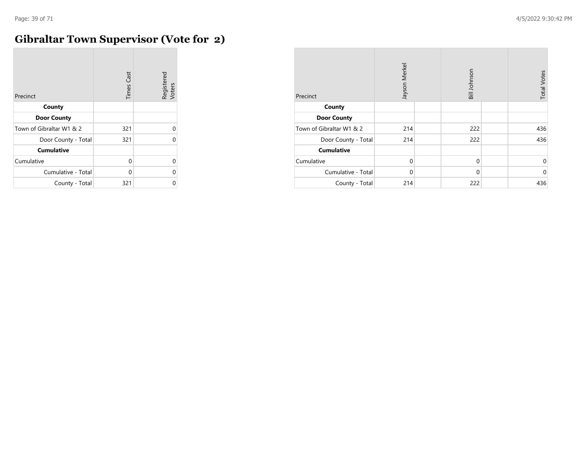$\sim$ 

# **Gibraltar Town Supervisor (Vote for 2)**

| Precinct                 | <b>Times Cast</b> | Registered<br>Voters |
|--------------------------|-------------------|----------------------|
| County                   |                   |                      |
| <b>Door County</b>       |                   |                      |
| Town of Gibraltar W1 & 2 | 321               | 0                    |
| Door County - Total      | 321               | O                    |
| <b>Cumulative</b>        |                   |                      |
| Cumulative               | $\Omega$          | $\Omega$             |
| Cumulative - Total       | U                 | 0                    |
| County - Total           | 321               | በ                    |

| Precinct                 | Jayson Merkel | Bill Johnson | <b>Total Votes</b> |
|--------------------------|---------------|--------------|--------------------|
| County                   |               |              |                    |
| <b>Door County</b>       |               |              |                    |
| Town of Gibraltar W1 & 2 | 214           | 222          | 436                |
| Door County - Total      | 214           | 222          | 436                |
| <b>Cumulative</b>        |               |              |                    |
| Cumulative               | $\mathbf 0$   | $\mathbf 0$  | 0                  |
| Cumulative - Total       | $\Omega$      | $\Omega$     | $\mathbf 0$        |
| County - Total           | 214           | 222          | 436                |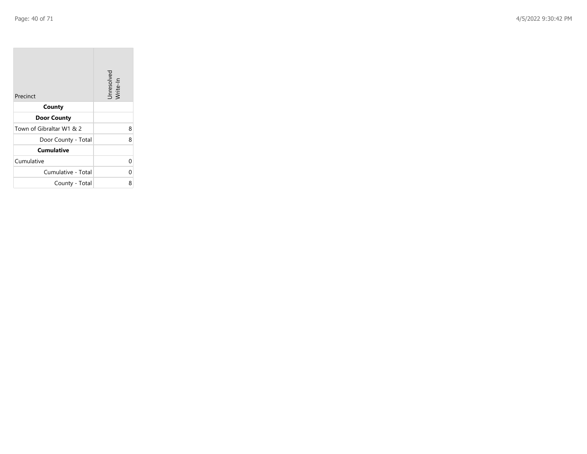$\sim$ 

| Precinct                 | Unresolved<br>Write-In |
|--------------------------|------------------------|
| County                   |                        |
| <b>Door County</b>       |                        |
| Town of Gibraltar W1 & 2 | 8                      |
| Door County - Total      | 8                      |
| <b>Cumulative</b>        |                        |
| Cumulative               | 0                      |
| Cumulative - Total       | 0                      |
| County - Total           | 8                      |

**Contract** 

 $\overline{\phantom{a}}$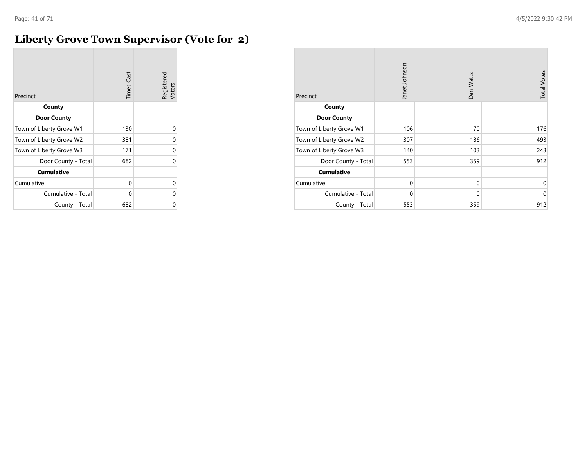#### **Liberty Grove Town Supervisor (Vote for 2)**

| Precinct                 | <b>Times Cast</b> | Registered<br>Voters |
|--------------------------|-------------------|----------------------|
| County                   |                   |                      |
| <b>Door County</b>       |                   |                      |
| Town of Liberty Grove W1 | 130               | 0                    |
| Town of Liberty Grove W2 | 381               | 0                    |
| Town of Liberty Grove W3 | 171               | 0                    |
| Door County - Total      | 682               | 0                    |
| <b>Cumulative</b>        |                   |                      |
| Cumulative               | 0                 | 0                    |
| Cumulative - Total       | 0                 | 0                    |
| County - Total           | 682               | U                    |

| Precinct                 | Janet Johnson | Dan Watts   | <b>Total Votes</b> |
|--------------------------|---------------|-------------|--------------------|
| County                   |               |             |                    |
| <b>Door County</b>       |               |             |                    |
| Town of Liberty Grove W1 | 106           | 70          | 176                |
| Town of Liberty Grove W2 | 307           | 186         | 493                |
| Town of Liberty Grove W3 | 140           | 103         | 243                |
| Door County - Total      | 553           | 359         | 912                |
| <b>Cumulative</b>        |               |             |                    |
| Cumulative               | $\Omega$      | 0           | $\mathbf 0$        |
| Cumulative - Total       | $\Omega$      | $\mathbf 0$ | $\Omega$           |
| County - Total           | 553           | 359         | 912                |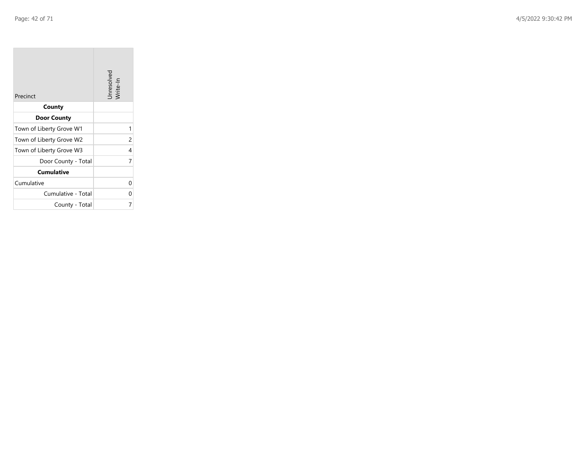| Precinct                 | Unresolved<br>Write-In |
|--------------------------|------------------------|
| County                   |                        |
| <b>Door County</b>       |                        |
| Town of Liberty Grove W1 | 1                      |
| Town of Liberty Grove W2 | 2                      |
| Town of Liberty Grove W3 | 4                      |
| Door County - Total      | 7                      |
| <b>Cumulative</b>        |                        |
| Cumulative               | 0                      |
| Cumulative - Total       | 0                      |
| County - Total           |                        |

the control of the control of the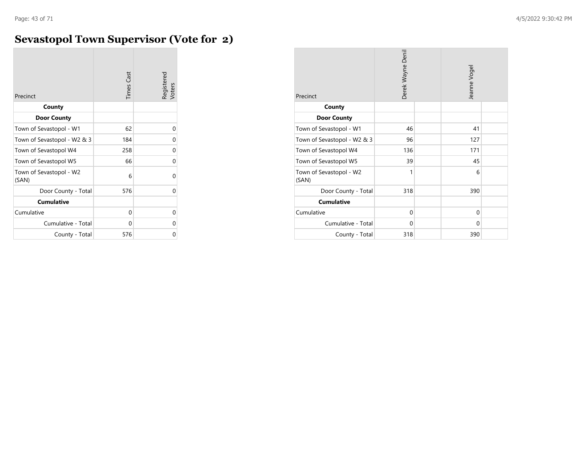# **Sevastopol Town Supervisor (Vote for 2)**

| Precinct                         | <b>Times Cast</b> | Registered<br>Voters |
|----------------------------------|-------------------|----------------------|
| County                           |                   |                      |
| <b>Door County</b>               |                   |                      |
| Town of Sevastopol - W1          | 62                | 0                    |
| Town of Sevastopol - W2 & 3      | 184               | 0                    |
| Town of Sevastopol W4            | 258               | 0                    |
| Town of Sevastopol W5            | 66                | O                    |
| Town of Sevastopol - W2<br>(SAN) | 6                 | U                    |
| Door County - Total              | 576               | O                    |
| <b>Cumulative</b>                |                   |                      |
| Cumulative                       | 0                 | 0                    |
| Cumulative - Total               | 0                 | Ω                    |
| County - Total                   | 576               | Ω                    |

| Precinct                         | Derek Wayne Denil |  | Jeanne Vogel |  |
|----------------------------------|-------------------|--|--------------|--|
| County                           |                   |  |              |  |
| <b>Door County</b>               |                   |  |              |  |
| Town of Sevastopol - W1          | 46                |  | 41           |  |
| Town of Sevastopol - W2 & 3      | 96                |  | 127          |  |
| Town of Sevastopol W4            | 136               |  | 171          |  |
| Town of Sevastopol W5            | 39                |  | 45           |  |
| Town of Sevastopol - W2<br>(SAN) | 1                 |  | 6            |  |
| Door County - Total              | 318               |  | 390          |  |
| <b>Cumulative</b>                |                   |  |              |  |
| Cumulative                       | 0                 |  | 0            |  |
| Cumulative - Total               | 0                 |  | 0            |  |
| County - Total                   | 318               |  | 390          |  |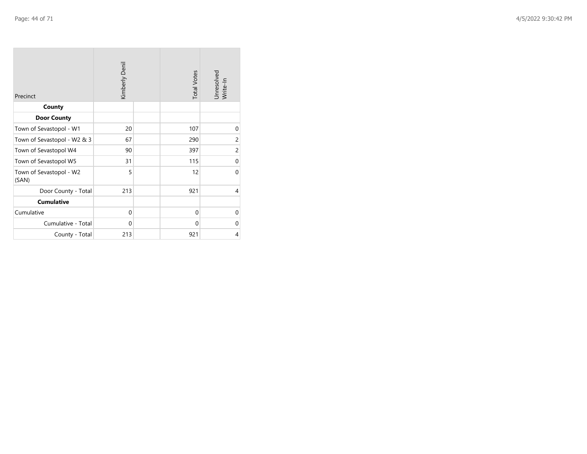| Precinct                         | Kimberly Denil |  | <b>Total Votes</b> | Unresolved<br>Write-In |
|----------------------------------|----------------|--|--------------------|------------------------|
| County                           |                |  |                    |                        |
| <b>Door County</b>               |                |  |                    |                        |
| Town of Sevastopol - W1          | 20             |  | 107                | 0                      |
| Town of Sevastopol - W2 & 3      | 67             |  | 290                | $\overline{c}$         |
| Town of Sevastopol W4            | 90             |  | 397                | 2                      |
| Town of Sevastopol W5            | 31             |  | 115                | $\mathbf 0$            |
| Town of Sevastopol - W2<br>(SAN) | 5              |  | 12                 | $\Omega$               |
| Door County - Total              | 213            |  | 921                | 4                      |
| <b>Cumulative</b>                |                |  |                    |                        |
| Cumulative                       | 0              |  | $\Omega$           | $\mathbf 0$            |
| Cumulative - Total               | $\Omega$       |  | $\Omega$           | $\Omega$               |
| County - Total                   | 213            |  | 921                | 4                      |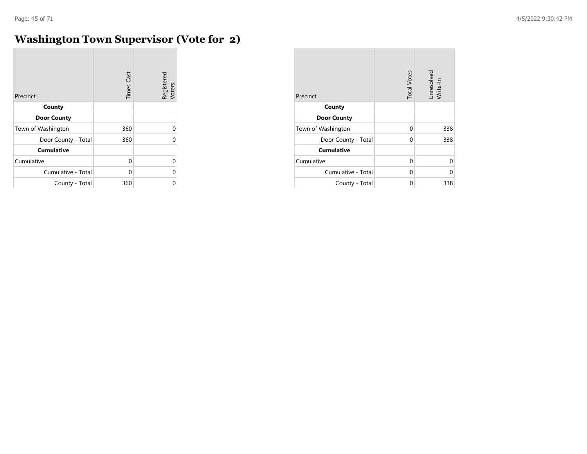$\overline{\phantom{a}}$ 

# **Washington Town Supervisor (Vote for 2)**

| Precinct            | <b>Times Cast</b> | Registered<br>Voters |
|---------------------|-------------------|----------------------|
| County              |                   |                      |
| <b>Door County</b>  |                   |                      |
| Town of Washington  | 360               | 0                    |
| Door County - Total | 360               | 0                    |
| <b>Cumulative</b>   |                   |                      |
| Cumulative          | $\Omega$          | 0                    |
| Cumulative - Total  | U                 | 0                    |
| County - Total      | 360               | 0                    |

| Precinct            | <b>Total Votes</b> | Unresolved<br>Write-In |
|---------------------|--------------------|------------------------|
| County              |                    |                        |
| <b>Door County</b>  |                    |                        |
| Town of Washington  | 0                  | 338                    |
| Door County - Total | 0                  | 338                    |
| <b>Cumulative</b>   |                    |                        |
| Cumulative          | 0                  | U                      |
| Cumulative - Total  | 0                  | U                      |
| County - Total      | 0                  | 338                    |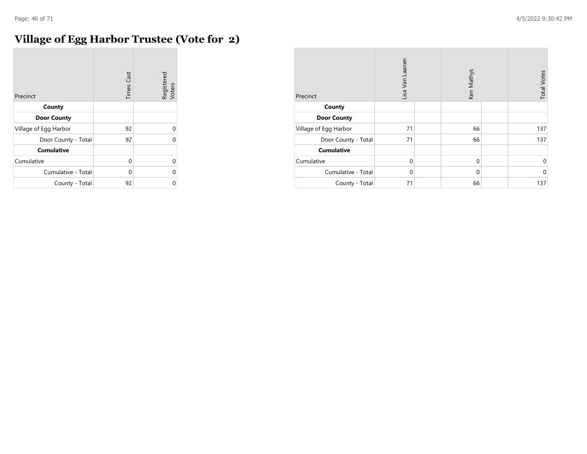# **Village of Egg Harbor Trustee (Vote for 2)**

| Precinct              | <b>Times Cast</b> | Registered<br>Voters |
|-----------------------|-------------------|----------------------|
| County                |                   |                      |
| <b>Door County</b>    |                   |                      |
| Village of Egg Harbor | 92                | $\Omega$             |
| Door County - Total   | 92                | $\Omega$             |
| <b>Cumulative</b>     |                   |                      |
| Cumulative            | 0                 | $\Omega$             |
| Cumulative - Total    | 0                 | $\Omega$             |
| County - Total        | 92                | 0                    |

| Precinct              | Lisa Van Laanen |  | Ken Mathys  |  | <b>Total Votes</b> |
|-----------------------|-----------------|--|-------------|--|--------------------|
| County                |                 |  |             |  |                    |
| <b>Door County</b>    |                 |  |             |  |                    |
| Village of Egg Harbor | 71              |  | 66          |  | 137                |
| Door County - Total   | 71              |  | 66          |  | 137                |
| <b>Cumulative</b>     |                 |  |             |  |                    |
| Cumulative            | $\Omega$        |  | $\mathbf 0$ |  | $\mathbf 0$        |
| Cumulative - Total    | $\Omega$        |  | $\mathbf 0$ |  | $\mathbf 0$        |
| County - Total        | 71              |  | 66          |  | 137                |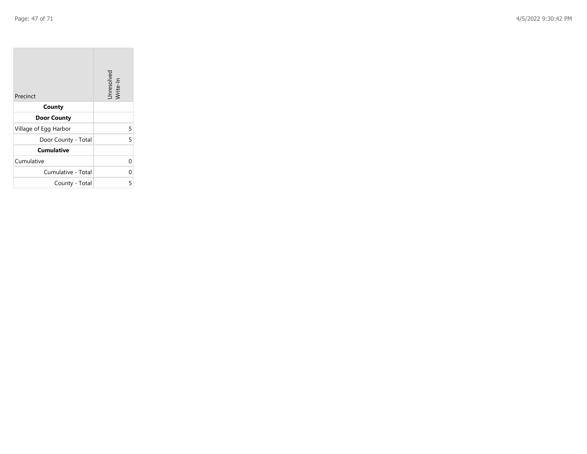| Precinct              | Unresolved<br>Write-In |
|-----------------------|------------------------|
| County                |                        |
| <b>Door County</b>    |                        |
| Village of Egg Harbor | 5                      |
| Door County - Total   | 5                      |
| <b>Cumulative</b>     |                        |
| Cumulative            |                        |
| Cumulative - Total    | 0                      |
| County - Total        | 5                      |

the property of the control of

m.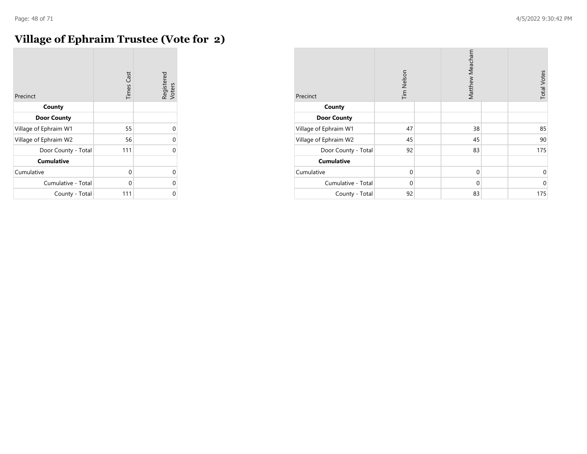#### **Village of Ephraim Trustee (Vote for 2)**

| Precinct              | <b>Times Cast</b> | Registered<br>Voters |
|-----------------------|-------------------|----------------------|
| County                |                   |                      |
| <b>Door County</b>    |                   |                      |
| Village of Ephraim W1 | 55                | $\Omega$             |
| Village of Ephraim W2 | 56                | 0                    |
| Door County - Total   | 111               | $\Omega$             |
| <b>Cumulative</b>     |                   |                      |
| Cumulative            | 0                 | 0                    |
| Cumulative - Total    | 0                 | 0                    |
| County - Total        | 111               | 0                    |

| Precinct              | Tim Nelson  |  | Matthew Meacham |  | <b>Total Votes</b> |
|-----------------------|-------------|--|-----------------|--|--------------------|
| County                |             |  |                 |  |                    |
| <b>Door County</b>    |             |  |                 |  |                    |
| Village of Ephraim W1 | 47          |  | 38              |  | 85                 |
| Village of Ephraim W2 | 45          |  | 45              |  | 90                 |
| Door County - Total   | 92          |  | 83              |  | 175                |
| <b>Cumulative</b>     |             |  |                 |  |                    |
| Cumulative            | $\mathbf 0$ |  | $\mathbf 0$     |  | 0                  |
| Cumulative - Total    | $\mathbf 0$ |  | $\mathbf 0$     |  | $\mathbf 0$        |
| County - Total        | 92          |  | 83              |  | 175                |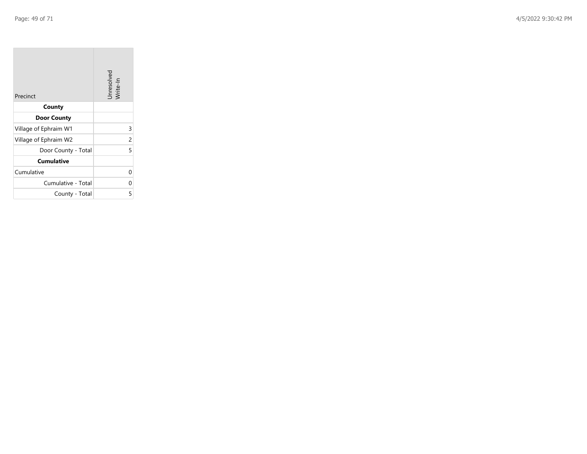$\sim$ 

| Precinct              | Unresolved<br>Write-In |
|-----------------------|------------------------|
| County                |                        |
| <b>Door County</b>    |                        |
| Village of Ephraim W1 | 3                      |
| Village of Ephraim W2 | 2                      |
| Door County - Total   | 5                      |
| <b>Cumulative</b>     |                        |
| Cumulative            | U                      |
| Cumulative - Total    | 0                      |
| County - Total        | 5                      |

**Contractor**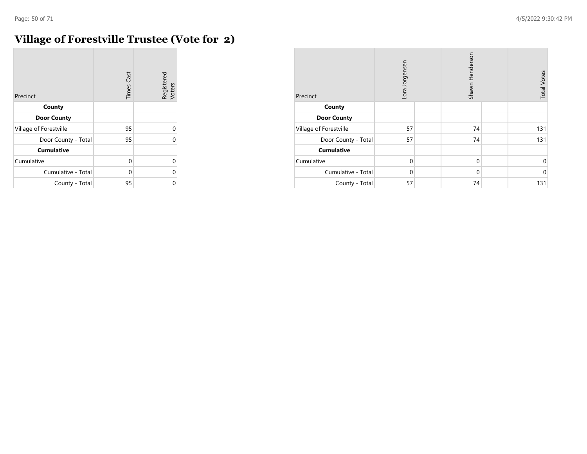$\sim$ 

# **Village of Forestville Trustee (Vote for 2)**

| Precinct               | <b>Times Cast</b> | Registered<br>Voters |
|------------------------|-------------------|----------------------|
| County                 |                   |                      |
| <b>Door County</b>     |                   |                      |
| Village of Forestville | 95                | 0                    |
| Door County - Total    | 95                | U                    |
| <b>Cumulative</b>      |                   |                      |
| Cumulative             | $\Omega$          | 0                    |
| Cumulative - Total     | 0                 | 0                    |
| County - Total         | 95                | 0                    |

| Precinct               | Lora Jorgensen | Shawn Henderson | <b>Total Votes</b> |
|------------------------|----------------|-----------------|--------------------|
| County                 |                |                 |                    |
| <b>Door County</b>     |                |                 |                    |
| Village of Forestville | 57             | 74              | 131                |
| Door County - Total    | 57             | 74              | 131                |
| <b>Cumulative</b>      |                |                 |                    |
| Cumulative             | $\mathbf 0$    | $\mathbf 0$     | 0                  |
| Cumulative - Total     | $\Omega$       | $\mathbf 0$     | $\Omega$           |
| County - Total         | 57             | 74              | 131                |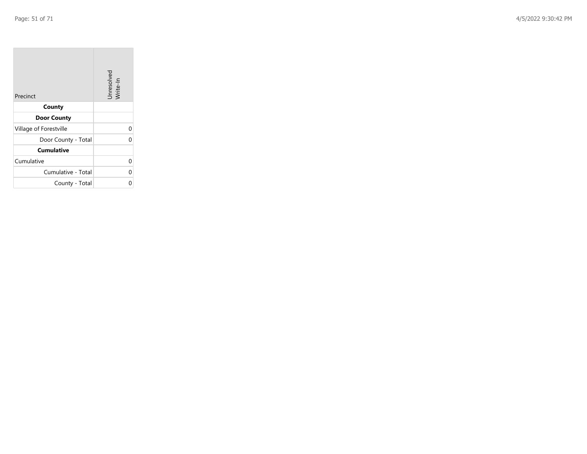| Precinct               | Unresolved<br>Write-In |
|------------------------|------------------------|
| County                 |                        |
| <b>Door County</b>     |                        |
| Village of Forestville | 0                      |
| Door County - Total    | 0                      |
| <b>Cumulative</b>      |                        |
| Cumulative             | 0                      |
| Cumulative - Total     | 0                      |
| County - Total         | ი                      |

the property of the con-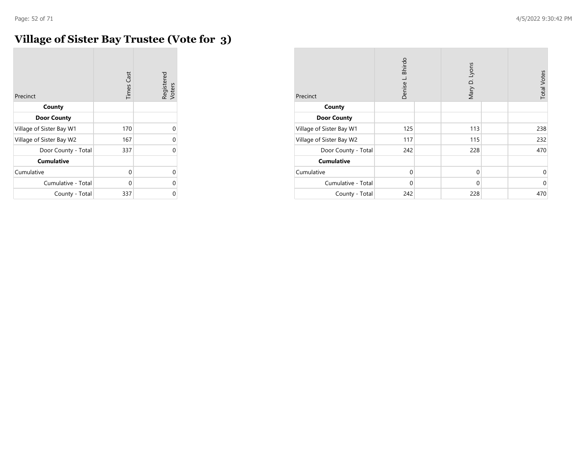# **Village of Sister Bay Trustee (Vote for 3)**

| Precinct                 | <b>Times Cast</b> | Registered<br>Voters |
|--------------------------|-------------------|----------------------|
| County                   |                   |                      |
| <b>Door County</b>       |                   |                      |
| Village of Sister Bay W1 | 170               | 0                    |
| Village of Sister Bay W2 | 167               | 0                    |
| Door County - Total      | 337               | 0                    |
| <b>Cumulative</b>        |                   |                      |
| Cumulative               | 0                 | 0                    |
| Cumulative - Total       | 0                 | 0                    |
| County - Total           | 337               | 0                    |

| Precinct                 | <b>Bhirdo</b><br>Denise L. | Mary D. Lyons | <b>Total Votes</b> |
|--------------------------|----------------------------|---------------|--------------------|
| County                   |                            |               |                    |
| <b>Door County</b>       |                            |               |                    |
| Village of Sister Bay W1 | 125                        | 113           | 238                |
| Village of Sister Bay W2 | 117                        | 115           | 232                |
| Door County - Total      | 242                        | 228           | 470                |
| <b>Cumulative</b>        |                            |               |                    |
| Cumulative               | $\Omega$                   | $\mathbf 0$   | 0                  |
| Cumulative - Total       | $\mathbf 0$                | $\mathbf 0$   | $\mathbf 0$        |
| County - Total           | 242                        | 228           | 470                |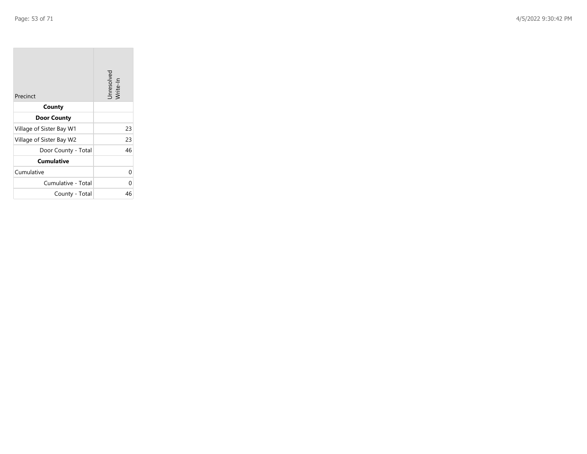$\sim$ 

| Precinct                 | Unresolved<br>Write-In |
|--------------------------|------------------------|
| County                   |                        |
| <b>Door County</b>       |                        |
| Village of Sister Bay W1 | 23                     |
| Village of Sister Bay W2 | 23                     |
| Door County - Total      | 46                     |
| <b>Cumulative</b>        |                        |
| Cumulative               | U                      |
| Cumulative - Total       | 0                      |
| County - Total           | 46                     |

**Contract** 

 $\overline{\phantom{a}}$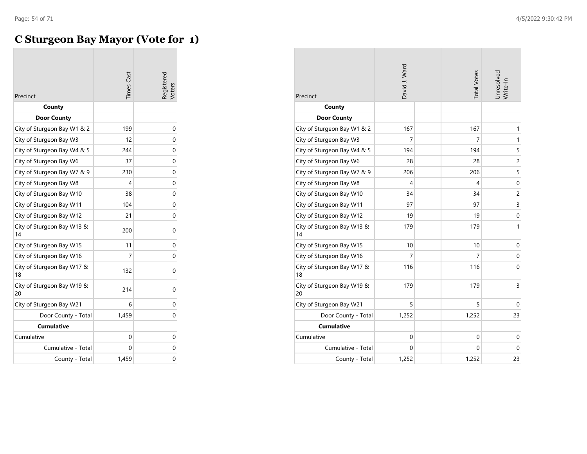# **C Sturgeon Bay Mayor (Vote for 1)**

| Precinct                         | <b>Times Cast</b> | Registered<br>/oters |
|----------------------------------|-------------------|----------------------|
| County                           |                   |                      |
| <b>Door County</b>               |                   |                      |
| City of Sturgeon Bay W1 & 2      | 199               | 0                    |
| City of Sturgeon Bay W3          | 12                | 0                    |
| City of Sturgeon Bay W4 & 5      | 244               | 0                    |
| City of Sturgeon Bay W6          | 37                | 0                    |
| City of Sturgeon Bay W7 & 9      | 230               | 0                    |
| City of Sturgeon Bay W8          | 4                 | 0                    |
| City of Sturgeon Bay W10         | 38                | 0                    |
| City of Sturgeon Bay W11         | 104               | 0                    |
| City of Sturgeon Bay W12         | 21                | 0                    |
| City of Sturgeon Bay W13 &<br>14 | 200               | 0                    |
| City of Sturgeon Bay W15         | 11                | 0                    |
| City of Sturgeon Bay W16         | 7                 | 0                    |
| City of Sturgeon Bay W17 &<br>18 | 132               | 0                    |
| City of Sturgeon Bay W19 &<br>20 | 214               | 0                    |
| City of Sturgeon Bay W21         | 6                 | 0                    |
| Door County - Total              | 1,459             | 0                    |
| <b>Cumulative</b>                |                   |                      |
| Cumulative                       | 0                 | 0                    |
| Cumulative - Total               | 0                 | 0                    |
| County - Total                   | 1,459             | 0                    |

| Precinct                         | David J. Ward  | <b>Total Votes</b> | Unresolved<br>Write-In |
|----------------------------------|----------------|--------------------|------------------------|
| County                           |                |                    |                        |
| <b>Door County</b>               |                |                    |                        |
| City of Sturgeon Bay W1 & 2      | 167            | 167                | $\mathbf{1}$           |
| City of Sturgeon Bay W3          | 7              | 7                  | $\mathbf{1}$           |
| City of Sturgeon Bay W4 & 5      | 194            | 194                | 5                      |
| City of Sturgeon Bay W6          | 28             | 28                 | $\overline{c}$         |
| City of Sturgeon Bay W7 & 9      | 206            | 206                | 5                      |
| City of Sturgeon Bay W8          | 4              | 4                  | $\mathbf 0$            |
| City of Sturgeon Bay W10         | 34             | 34                 | $\overline{c}$         |
| City of Sturgeon Bay W11         | 97             | 97                 | 3                      |
| City of Sturgeon Bay W12         | 19             | 19                 | $\boldsymbol{0}$       |
| City of Sturgeon Bay W13 &<br>14 | 179            | 179                | $\mathbf{1}$           |
| City of Sturgeon Bay W15         | 10             | 10                 | $\mathbf 0$            |
| City of Sturgeon Bay W16         | $\overline{7}$ | 7                  | $\mathbf 0$            |
| City of Sturgeon Bay W17 &<br>18 | 116            | 116                | $\mathbf 0$            |
| City of Sturgeon Bay W19 &<br>20 | 179            | 179                | 3                      |
| City of Sturgeon Bay W21         | 5              | 5                  | 0                      |
| Door County - Total              | 1,252          | 1,252              | 23                     |
| <b>Cumulative</b>                |                |                    |                        |
| Cumulative                       | 0              | 0                  | 0                      |
| Cumulative - Total               | 0              | 0                  | $\mathbf 0$            |
| County - Total                   | 1,252          | 1,252              | 23                     |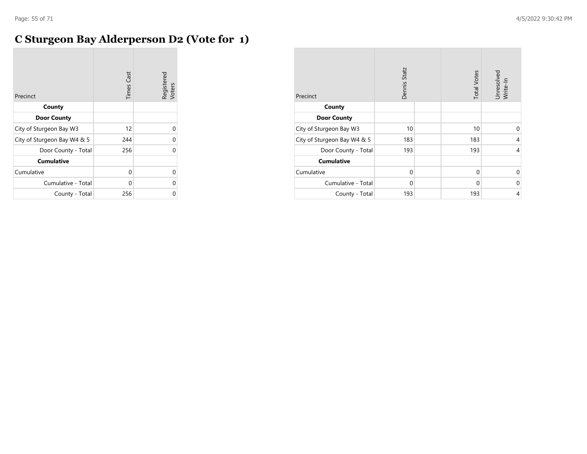#### **C Sturgeon Bay Alderperson D2 (Vote for 1)**

| Precinct                    | <b>Times Cast</b> | Registered<br>Voters |
|-----------------------------|-------------------|----------------------|
| County                      |                   |                      |
| <b>Door County</b>          |                   |                      |
| City of Sturgeon Bay W3     | 12                | 0                    |
| City of Sturgeon Bay W4 & 5 | 244               | 0                    |
| Door County - Total         | 256               | 0                    |
| <b>Cumulative</b>           |                   |                      |
| Cumulative                  | $\Omega$          | 0                    |
| Cumulative - Total          | 0                 | 0                    |
| County - Total              | 256               | U                    |

| Precinct                    | Dennis Statz | <b>Total Votes</b> | Unresolved<br>Write-In |
|-----------------------------|--------------|--------------------|------------------------|
| County                      |              |                    |                        |
| <b>Door County</b>          |              |                    |                        |
| City of Sturgeon Bay W3     | 10           | 10                 | $\Omega$               |
| City of Sturgeon Bay W4 & 5 | 183          | 183                | 4                      |
| Door County - Total         | 193          | 193                | $\overline{4}$         |
| <b>Cumulative</b>           |              |                    |                        |
| Cumulative                  | $\mathbf 0$  | $\mathbf 0$        | 0                      |
| Cumulative - Total          | 0            | 0                  | $\Omega$               |
| County - Total              | 193          | 193                | 4                      |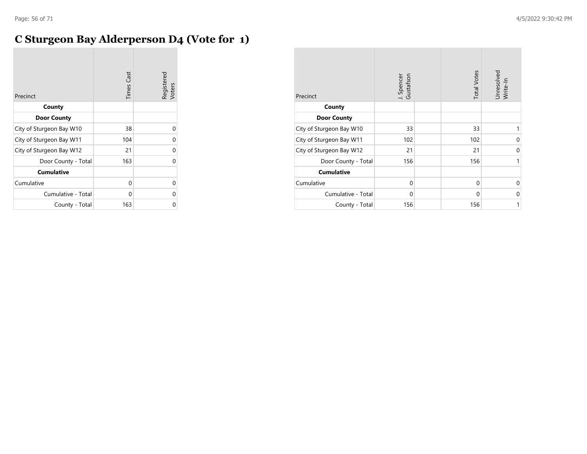# **C Sturgeon Bay Alderperson D4 (Vote for 1)**

| Precinct                 | <b>Times Cast</b> | Registered<br>Voters |
|--------------------------|-------------------|----------------------|
| County                   |                   |                      |
| <b>Door County</b>       |                   |                      |
| City of Sturgeon Bay W10 | 38                | O                    |
| City of Sturgeon Bay W11 | 104               | 0                    |
| City of Sturgeon Bay W12 | 21                | 0                    |
| Door County - Total      | 163               | 0                    |
| <b>Cumulative</b>        |                   |                      |
| Cumulative               | 0                 | U                    |
| Cumulative - Total       | 0                 | U                    |
| County - Total           | 163               |                      |

| Precinct                 | J. Spencer<br>Gustafson | <b>Total Votes</b> | Unresolved<br>Write-In |
|--------------------------|-------------------------|--------------------|------------------------|
| County                   |                         |                    |                        |
| <b>Door County</b>       |                         |                    |                        |
| City of Sturgeon Bay W10 | 33                      | 33                 |                        |
| City of Sturgeon Bay W11 | 102                     | 102                | 0                      |
| City of Sturgeon Bay W12 | 21                      | 21                 | 0                      |
| Door County - Total      | 156                     | 156                | 1                      |
| <b>Cumulative</b>        |                         |                    |                        |
| Cumulative               | $\Omega$                | $\mathbf 0$        | $\Omega$               |
| Cumulative - Total       | $\Omega$                | $\Omega$           | $\Omega$               |
| County - Total           | 156                     | 156                | 1                      |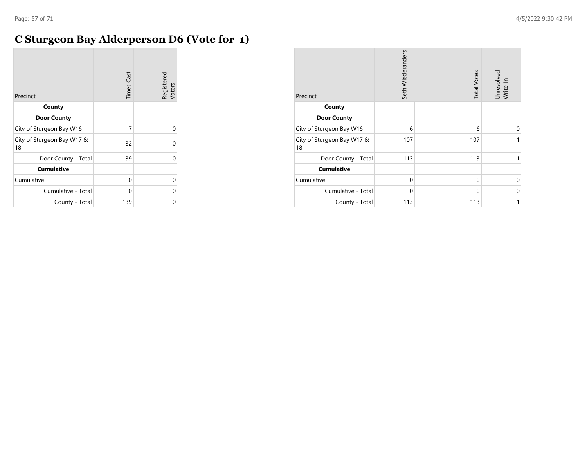# **C Sturgeon Bay Alderperson D6 (Vote for 1)**

| Precinct                         | <b>Times Cast</b> | Registered<br>Voters |
|----------------------------------|-------------------|----------------------|
| County                           |                   |                      |
| <b>Door County</b>               |                   |                      |
| City of Sturgeon Bay W16         | 7                 | $\Omega$             |
| City of Sturgeon Bay W17 &<br>18 | 132               | U                    |
| Door County - Total              | 139               | 0                    |
| <b>Cumulative</b>                |                   |                      |
| Cumulative                       | 0                 | 0                    |
| Cumulative - Total               | 0                 | O                    |
| County - Total                   | 139               | 0                    |

| Precinct                         | Seth Wiederanders | <b>Total Votes</b> | Unresolved<br>Write-In |
|----------------------------------|-------------------|--------------------|------------------------|
| County                           |                   |                    |                        |
| <b>Door County</b>               |                   |                    |                        |
| City of Sturgeon Bay W16         | 6                 | 6                  | $\Omega$               |
| City of Sturgeon Bay W17 &<br>18 | 107               | 107                | 1                      |
| Door County - Total              | 113               | 113                | 1                      |
| <b>Cumulative</b>                |                   |                    |                        |
| Cumulative                       | $\Omega$          | $\mathbf 0$        | $\Omega$               |
| Cumulative - Total               | $\mathbf 0$       | 0                  | 0                      |
| County - Total                   | 113               | 113                | 1                      |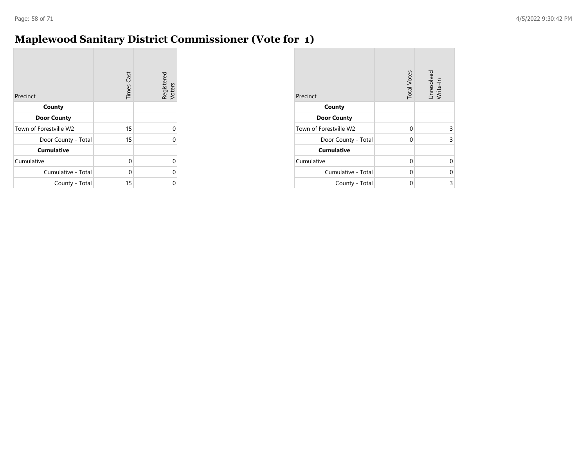# **Maplewood Sanitary District Commissioner (Vote for 1)**

| Precinct               | <b>Times Cast</b> | Registered<br>Voters |
|------------------------|-------------------|----------------------|
| County                 |                   |                      |
| <b>Door County</b>     |                   |                      |
| Town of Forestville W2 | 15                | U                    |
| Door County - Total    | 15                | ი                    |
| <b>Cumulative</b>      |                   |                      |
| Cumulative             | 0                 | 0                    |
| Cumulative - Total     | 0                 | 0                    |
| County - Total         | 15                |                      |

| Precinct               | <b>Total Votes</b> | Unresolved<br>Write-In |
|------------------------|--------------------|------------------------|
| County                 |                    |                        |
| <b>Door County</b>     |                    |                        |
| Town of Forestville W2 | 0                  | 3                      |
| Door County - Total    | 0                  | 3                      |
| <b>Cumulative</b>      |                    |                        |
| Cumulative             | 0                  | ი                      |
| Cumulative - Total     | 0                  | 0                      |
| County - Total         | 0                  | 3                      |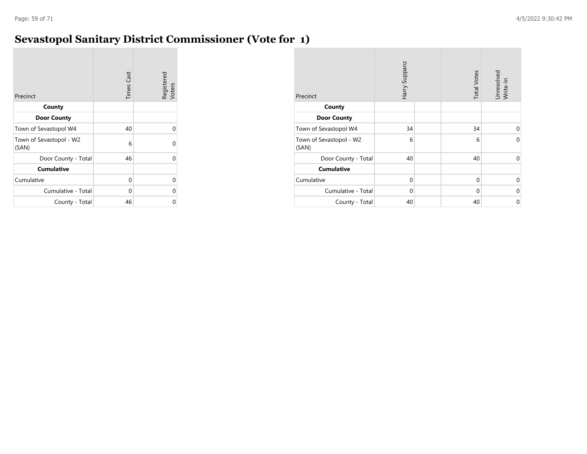#### **Sevastopol Sanitary District Commissioner (Vote for 1)**

| Precinct                         | <b>Times Cast</b> | Registered<br>Voters |
|----------------------------------|-------------------|----------------------|
| County                           |                   |                      |
| <b>Door County</b>               |                   |                      |
| Town of Sevastopol W4            | 40                | O                    |
| Town of Sevastopol - W2<br>(SAN) | 6                 | 0                    |
| Door County - Total              | 46                | 0                    |
| <b>Cumulative</b>                |                   |                      |
| Cumulative                       | 0                 | 0                    |
| Cumulative - Total               | 0                 | ი                    |
| County - Total                   | 46                | 0                    |

| Precinct                         | Harry Suppanz | <b>Total Votes</b> | Unresolved<br>Write-In |
|----------------------------------|---------------|--------------------|------------------------|
| County                           |               |                    |                        |
| <b>Door County</b>               |               |                    |                        |
| Town of Sevastopol W4            | 34            | 34                 | $\Omega$               |
| Town of Sevastopol - W2<br>(SAN) | 6             | 6                  | 0                      |
| Door County - Total              | 40            | 40                 | 0                      |
| <b>Cumulative</b>                |               |                    |                        |
| Cumulative                       | 0             | 0                  | $\Omega$               |
| Cumulative - Total               | 0             | 0                  | $\Omega$               |
| County - Total                   | 40            | 40                 | 0                      |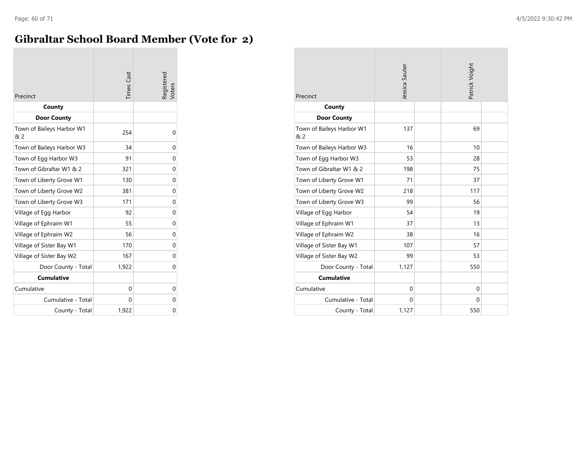#### **Gibraltar School Board Member (Vote for 2)**

| Precinct                         | <b>Times</b> Cast | Registered<br>Voters |
|----------------------------------|-------------------|----------------------|
| County                           |                   |                      |
| <b>Door County</b>               |                   |                      |
| Town of Baileys Harbor W1<br>& 2 | 254               | 0                    |
| Town of Baileys Harbor W3        | 34                | 0                    |
| Town of Egg Harbor W3            | 91                | 0                    |
| Town of Gibraltar W1 & 2         | 321               | 0                    |
| Town of Liberty Grove W1         | 130               | $\Omega$             |
| Town of Liberty Grove W2         | 381               | 0                    |
| Town of Liberty Grove W3         | 171               | 0                    |
| Village of Egg Harbor            | 92                | 0                    |
| Village of Ephraim W1            | 55                | 0                    |
| Village of Ephraim W2            | 56                | 0                    |
| Village of Sister Bay W1         | 170               | 0                    |
| Village of Sister Bay W2         | 167               | $\Omega$             |
| Door County - Total              | 1,922             | 0                    |
| <b>Cumulative</b>                |                   |                      |
| Cumulative                       | 0                 | 0                    |
| Cumulative - Total               | 0                 | 0                    |
| County - Total                   | 1,922             | 0                    |

| Precinct                         | Jessica Sauter |  | Patrick Voight |  |
|----------------------------------|----------------|--|----------------|--|
| County                           |                |  |                |  |
| <b>Door County</b>               |                |  |                |  |
| Town of Baileys Harbor W1<br>& 2 | 137            |  | 69             |  |
| Town of Baileys Harbor W3        | 16             |  | 10             |  |
| Town of Egg Harbor W3            | 53             |  | 28             |  |
| Town of Gibraltar W1 & 2         | 198            |  | 75             |  |
| Town of Liberty Grove W1         | 71             |  | 37             |  |
| Town of Liberty Grove W2         | 218            |  | 117            |  |
| Town of Liberty Grove W3         | 99             |  | 56             |  |
| Village of Egg Harbor            | 54             |  | 19             |  |
| Village of Ephraim W1            | 37             |  | 13             |  |
| Village of Ephraim W2            | 38             |  | 16             |  |
| Village of Sister Bay W1         | 107            |  | 57             |  |
| Village of Sister Bay W2         | 99             |  | 53             |  |
| Door County - Total              | 1,127          |  | 550            |  |
| <b>Cumulative</b>                |                |  |                |  |
| Cumulative                       | $\mathbf 0$    |  | $\Omega$       |  |
| Cumulative - Total               | $\mathbf 0$    |  | $\mathbf 0$    |  |
| County - Total                   | 1,127          |  | 550            |  |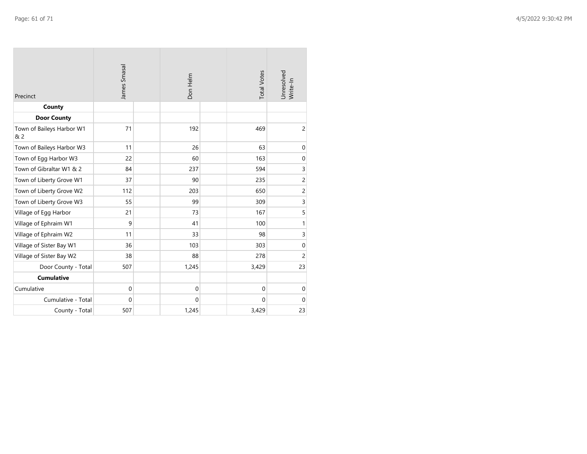| Precinct                         | James Smasal | Don Helm         | <b>Total Votes</b> | Unresolved<br>Write-In |
|----------------------------------|--------------|------------------|--------------------|------------------------|
| County                           |              |                  |                    |                        |
| <b>Door County</b>               |              |                  |                    |                        |
| Town of Baileys Harbor W1<br>& 2 | 71           | 192              | 469                | $\overline{c}$         |
| Town of Baileys Harbor W3        | 11           | 26               | 63                 | $\mathbf 0$            |
| Town of Egg Harbor W3            | 22           | 60               | 163                | $\pmb{0}$              |
| Town of Gibraltar W1 & 2         | 84           | 237              | 594                | 3                      |
| Town of Liberty Grove W1         | 37           | 90               | 235                | $\overline{c}$         |
| Town of Liberty Grove W2         | 112          | 203              | 650                | $\overline{c}$         |
| Town of Liberty Grove W3         | 55           | 99               | 309                | 3                      |
| Village of Egg Harbor            | 21           | 73               | 167                | 5                      |
| Village of Ephraim W1            | 9            | 41               | 100                | $\mathbf{1}$           |
| Village of Ephraim W2            | 11           | 33               | 98                 | 3                      |
| Village of Sister Bay W1         | 36           | 103              | 303                | $\mathbf 0$            |
| Village of Sister Bay W2         | 38           | 88               | 278                | $\overline{c}$         |
| Door County - Total              | 507          | 1,245            | 3,429              | 23                     |
| <b>Cumulative</b>                |              |                  |                    |                        |
| Cumulative                       | $\mathbf 0$  | $\boldsymbol{0}$ | $\mathbf 0$        | $\mathbf 0$            |
| Cumulative - Total               | $\Omega$     | 0                | $\Omega$           | $\mathbf 0$            |
| County - Total                   | 507          | 1,245            | 3,429              | 23                     |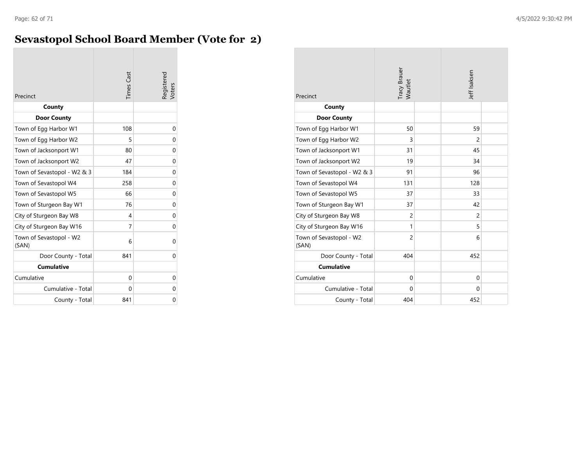#### **Sevastopol School Board Member (Vote for 2)**

| Precinct                         | <b>Times Cast</b> | Registered<br>Voters |
|----------------------------------|-------------------|----------------------|
| County                           |                   |                      |
| <b>Door County</b>               |                   |                      |
| Town of Egg Harbor W1            | 108               | 0                    |
| Town of Egg Harbor W2            | 5                 | 0                    |
| Town of Jacksonport W1           | 80                | 0                    |
| Town of Jacksonport W2           | 47                | 0                    |
| Town of Sevastopol - W2 & 3      | 184               | 0                    |
| Town of Sevastopol W4            | 258               | 0                    |
| Town of Sevastopol W5            | 66                | 0                    |
| Town of Sturgeon Bay W1          | 76                | 0                    |
| City of Sturgeon Bay W8          | 4                 | 0                    |
| City of Sturgeon Bay W16         | 7                 | 0                    |
| Town of Sevastopol - W2<br>(SAN) | 6                 | 0                    |
| Door County - Total              | 841               | 0                    |
| <b>Cumulative</b>                |                   |                      |
| Cumulative                       | 0                 | 0                    |
| Cumulative - Total               | 0                 | 0                    |
| County - Total                   | 841               | 0                    |

| Precinct                         | Tracy Brauer<br>Wautlet | Jeff Isaksen   |  |
|----------------------------------|-------------------------|----------------|--|
| County                           |                         |                |  |
| <b>Door County</b>               |                         |                |  |
| Town of Egg Harbor W1            | 50                      | 59             |  |
| Town of Egg Harbor W2            | 3                       | $\overline{2}$ |  |
| Town of Jacksonport W1           | 31                      | 45             |  |
| Town of Jacksonport W2           | 19                      | 34             |  |
| Town of Sevastopol - W2 & 3      | 91                      | 96             |  |
| Town of Sevastopol W4            | 131                     | 128            |  |
| Town of Sevastopol W5            | 37                      | 33             |  |
| Town of Sturgeon Bay W1          | 37                      | 42             |  |
| City of Sturgeon Bay W8          | $\overline{2}$          | $\overline{c}$ |  |
| City of Sturgeon Bay W16         | 1                       | 5              |  |
| Town of Sevastopol - W2<br>(SAN) | $\overline{c}$          | 6              |  |
| Door County - Total              | 404                     | 452            |  |
| <b>Cumulative</b>                |                         |                |  |
| Cumulative                       | $\mathbf 0$             | 0              |  |
| Cumulative - Total               | $\Omega$                | 0              |  |
| County - Total                   | 404                     | 452            |  |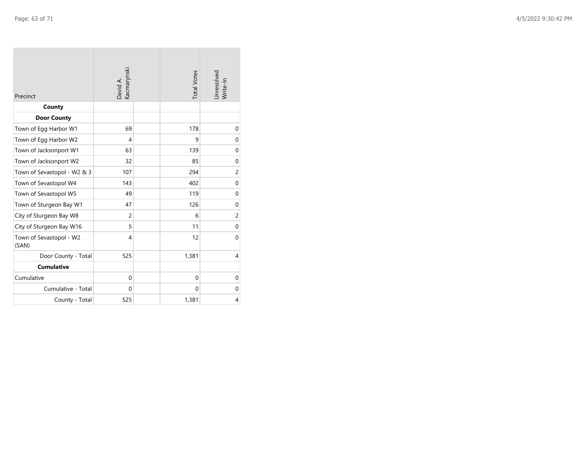| Precinct                         | David A.<br>Kacmarynski | <b>Total Votes</b> | Unresolved<br>Write-In |
|----------------------------------|-------------------------|--------------------|------------------------|
| County                           |                         |                    |                        |
| <b>Door County</b>               |                         |                    |                        |
| Town of Egg Harbor W1            | 69                      | 178                | 0                      |
| Town of Egg Harbor W2            | 4                       | 9                  | $\mathbf 0$            |
| Town of Jacksonport W1           | 63                      | 139                | $\mathbf 0$            |
| Town of Jacksonport W2           | 32                      | 85                 | $\mathbf 0$            |
| Town of Sevastopol - W2 & 3      | 107                     | 294                | $\overline{c}$         |
| Town of Sevastopol W4            | 143                     | 402                | $\mathbf 0$            |
| Town of Sevastopol W5            | 49                      | 119                | $\mathbf 0$            |
| Town of Sturgeon Bay W1          | 47                      | 126                | 0                      |
| City of Sturgeon Bay W8          | $\overline{c}$          | 6                  | $\overline{c}$         |
| City of Sturgeon Bay W16         | 5                       | 11                 | $\boldsymbol{0}$       |
| Town of Sevastopol - W2<br>(SAN) | $\overline{4}$          | 12                 | $\Omega$               |
| Door County - Total              | 525                     | 1,381              | $\overline{4}$         |
| <b>Cumulative</b>                |                         |                    |                        |
| Cumulative                       | 0                       | $\Omega$           | $\mathbf 0$            |
| Cumulative - Total               | $\mathbf 0$             | $\mathbf{0}$       | $\mathbf 0$            |
| County - Total                   | 525                     | 1,381              | 4                      |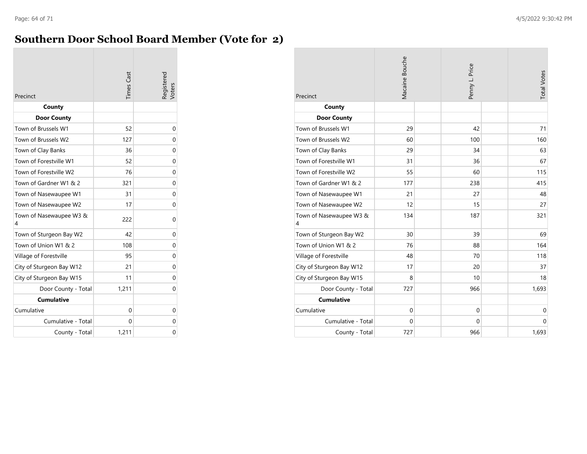#### **Southern Door School Board Member (Vote for 2)**

| Precinct                     | <b>Times</b> Cast | Registered<br>Voters |
|------------------------------|-------------------|----------------------|
| County                       |                   |                      |
| <b>Door County</b>           |                   |                      |
| Town of Brussels W1          | 52                | 0                    |
| Town of Brussels W2          | 127               | 0                    |
| Town of Clay Banks           | 36                | 0                    |
| Town of Forestville W1       | 52                | 0                    |
| Town of Forestville W2       | 76                | 0                    |
| Town of Gardner W1 & 2       | 321               | 0                    |
| Town of Nasewaupee W1        | 31                | 0                    |
| Town of Nasewaupee W2        | 17                | 0                    |
| Town of Nasewaupee W3 &<br>4 | 222               | 0                    |
| Town of Sturgeon Bay W2      | 42                | 0                    |
| Town of Union W1 & 2         | 108               | 0                    |
| Village of Forestville       | 95                | 0                    |
| City of Sturgeon Bay W12     | 21                | 0                    |
| City of Sturgeon Bay W15     | 11                | 0                    |
| Door County - Total          | 1,211             | 0                    |
| <b>Cumulative</b>            |                   |                      |
| Cumulative                   | 0                 | 0                    |
| Cumulative - Total           | 0                 | 0                    |
| County - Total               | 1,211             | 0                    |

| Precinct                     | Macaine Bouche | Penny L. Price | <b>Total Votes</b> |
|------------------------------|----------------|----------------|--------------------|
| County                       |                |                |                    |
| <b>Door County</b>           |                |                |                    |
| Town of Brussels W1          | 29             | 42             | 71                 |
| Town of Brussels W2          | 60             | 100            | 160                |
| Town of Clay Banks           | 29             | 34             | 63                 |
| Town of Forestville W1       | 31             | 36             | 67                 |
| Town of Forestville W2       | 55             | 60             | 115                |
| Town of Gardner W1 & 2       | 177            | 238            | 415                |
| Town of Nasewaupee W1        | 21             | 27             | 48                 |
| Town of Nasewaupee W2        | 12             | 15             | 27                 |
| Town of Nasewaupee W3 &<br>4 | 134            | 187            | 321                |
| Town of Sturgeon Bay W2      | 30             | 39             | 69                 |
| Town of Union W1 & 2         | 76             | 88             | 164                |
| Village of Forestville       | 48             | 70             | 118                |
| City of Sturgeon Bay W12     | 17             | 20             | 37                 |
| City of Sturgeon Bay W15     | 8              | 10             | 18                 |
| Door County - Total          | 727            | 966            | 1,693              |
| <b>Cumulative</b>            |                |                |                    |
| Cumulative                   | $\mathbf{0}$   | $\mathbf 0$    | $\mathbf 0$        |
| Cumulative - Total           | 0              | 0              | $\mathbf 0$        |
| County - Total               | 727            | 966            | 1,693              |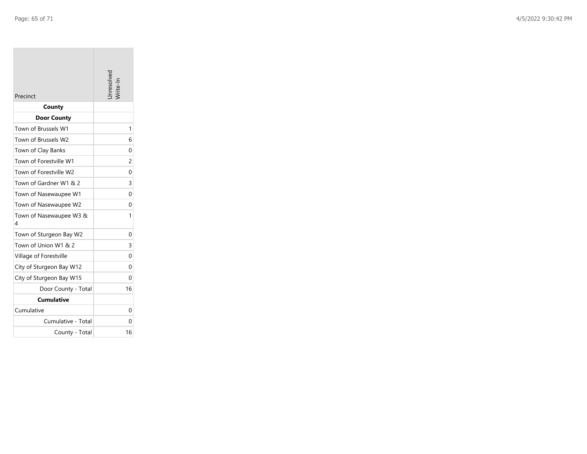| Precinct                     | nresolve       |
|------------------------------|----------------|
| County                       |                |
| <b>Door County</b>           |                |
| Town of Brussels W1          | 1              |
| Town of Brussels W2          | 6              |
| Town of Clay Banks           | 0              |
| Town of Forestville W1       | $\overline{c}$ |
| Town of Forestville W2       | 0              |
| Town of Gardner W1 & 2       | 3              |
| Town of Nasewaupee W1        | $\Omega$       |
| Town of Nasewaupee W2        | 0              |
| Town of Nasewaupee W3 &<br>4 | 1              |
| Town of Sturgeon Bay W2      | $\Omega$       |
| Town of Union W1 & 2         | 3              |
| Village of Forestville       | 0              |
| City of Sturgeon Bay W12     | 0              |
| City of Sturgeon Bay W15     | 0              |
| Door County - Total          | 16             |
| <b>Cumulative</b>            |                |
| Cumulative                   | 0              |
| Cumulative - Total           | 0              |
| County - Total               | 16             |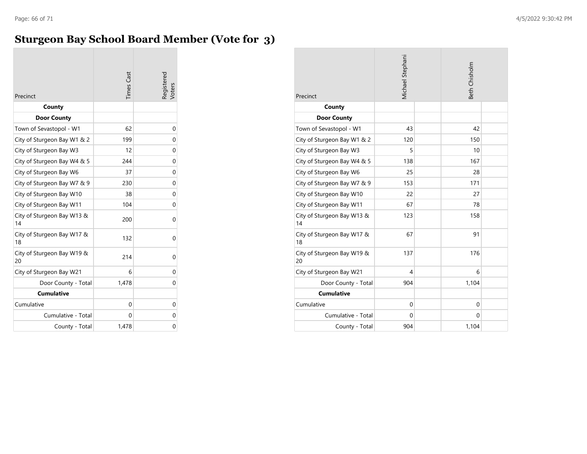#### **Sturgeon Bay School Board Member (Vote for 3)**

| Precinct                         | <b>Times Cast</b> | Registered<br>Voters |
|----------------------------------|-------------------|----------------------|
| County                           |                   |                      |
| <b>Door County</b>               |                   |                      |
| Town of Sevastopol - W1          | 62                | 0                    |
| City of Sturgeon Bay W1 & 2      | 199               | 0                    |
| City of Sturgeon Bay W3          | 12                | 0                    |
| City of Sturgeon Bay W4 & 5      | 244               | 0                    |
| City of Sturgeon Bay W6          | 37                | 0                    |
| City of Sturgeon Bay W7 & 9      | 230               | 0                    |
| City of Sturgeon Bay W10         | 38                | 0                    |
| City of Sturgeon Bay W11         | 104               | 0                    |
| City of Sturgeon Bay W13 &<br>14 | 200               | 0                    |
| City of Sturgeon Bay W17 &<br>18 | 132               | 0                    |
| City of Sturgeon Bay W19 &<br>20 | 214               | 0                    |
| City of Sturgeon Bay W21         | 6                 | 0                    |
| Door County - Total              | 1,478             | 0                    |
| <b>Cumulative</b>                |                   |                      |
| Cumulative                       | 0                 | 0                    |
| Cumulative - Total               | 0                 | 0                    |
| County - Total                   | 1,478             | 0                    |

| Precinct                         | Michael Stephani | Beth Chisholm |  |
|----------------------------------|------------------|---------------|--|
| County                           |                  |               |  |
| <b>Door County</b>               |                  |               |  |
| Town of Sevastopol - W1          | 43               | 42            |  |
| City of Sturgeon Bay W1 & 2      | 120              | 150           |  |
| City of Sturgeon Bay W3          | 5                | 10            |  |
| City of Sturgeon Bay W4 & 5      | 138              | 167           |  |
| City of Sturgeon Bay W6          | 25               | 28            |  |
| City of Sturgeon Bay W7 & 9      | 153              | 171           |  |
| City of Sturgeon Bay W10         | 22               | 27            |  |
| City of Sturgeon Bay W11         | 67               | 78            |  |
| City of Sturgeon Bay W13 &<br>14 | 123              | 158           |  |
| City of Sturgeon Bay W17 &<br>18 | 67               | 91            |  |
| City of Sturgeon Bay W19 &<br>20 | 137              | 176           |  |
| City of Sturgeon Bay W21         | 4                | 6             |  |
| Door County - Total              | 904              | 1,104         |  |
| <b>Cumulative</b>                |                  |               |  |
| Cumulative                       | $\mathbf 0$      | $\Omega$      |  |
| Cumulative - Total               | $\Omega$         | $\Omega$      |  |
| County - Total                   | 904              | 1,104         |  |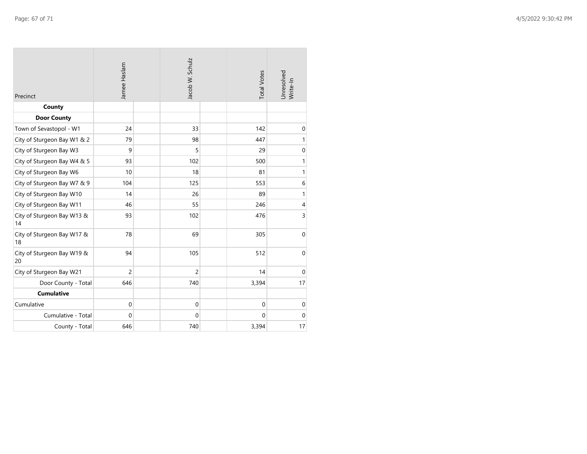| Precinct                         | Jamee Haslam   | Jacob W. Schulz |                | <b>Total Votes</b> | Jnresolved<br>Write-In |
|----------------------------------|----------------|-----------------|----------------|--------------------|------------------------|
| County                           |                |                 |                |                    |                        |
| <b>Door County</b>               |                |                 |                |                    |                        |
| Town of Sevastopol - W1          | 24             |                 | 33             | 142                | $\mathbf 0$            |
| City of Sturgeon Bay W1 & 2      | 79             |                 | 98             | 447                | $\mathbf{1}$           |
| City of Sturgeon Bay W3          | 9              |                 | 5              | 29                 | $\boldsymbol{0}$       |
| City of Sturgeon Bay W4 & 5      | 93             |                 | 102            | 500                | $\mathbf{1}$           |
| City of Sturgeon Bay W6          | 10             |                 | 18             | 81                 | $\mathbf{1}$           |
| City of Sturgeon Bay W7 & 9      | 104            |                 | 125            | 553                | $\,$ 6 $\,$            |
| City of Sturgeon Bay W10         | 14             |                 | 26             | 89                 | $\mathbf{1}$           |
| City of Sturgeon Bay W11         | 46             |                 | 55             | 246                | $\overline{4}$         |
| City of Sturgeon Bay W13 &<br>14 | 93             |                 | 102            | 476                | $\overline{3}$         |
| City of Sturgeon Bay W17 &<br>18 | 78             |                 | 69             | 305                | $\mathbf 0$            |
| City of Sturgeon Bay W19 &<br>20 | 94             |                 | 105            | 512                | $\pmb{0}$              |
| City of Sturgeon Bay W21         | $\overline{2}$ |                 | $\overline{c}$ | 14                 | $\mathbf 0$            |
| Door County - Total              | 646            |                 | 740            | 3,394              | 17                     |
| <b>Cumulative</b>                |                |                 |                |                    |                        |
| Cumulative                       | $\mathbf 0$    |                 | $\mathbf 0$    | $\mathbf 0$        | $\mathbf 0$            |
| Cumulative - Total               | $\mathbf{0}$   |                 | $\mathbf 0$    | $\mathbf{0}$       | $\mathbf 0$            |
| County - Total                   | 646            |                 | 740            | 3,394              | 17                     |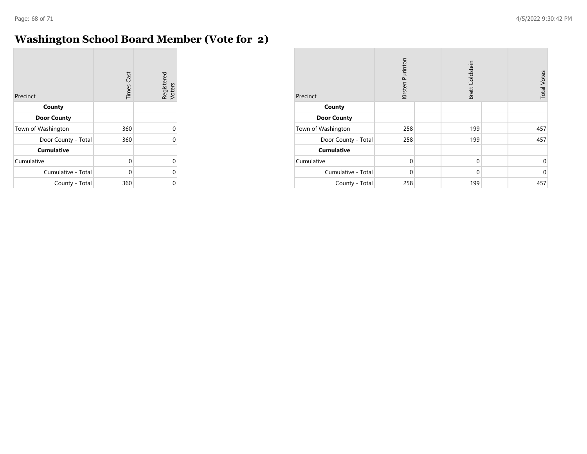$\sim$ 

#### **Washington School Board Member (Vote for 2)**

| Precinct            | <b>Times Cast</b> | Registered<br>Voters |
|---------------------|-------------------|----------------------|
| County              |                   |                      |
| <b>Door County</b>  |                   |                      |
| Town of Washington  | 360               | U                    |
| Door County - Total | 360               | U                    |
| <b>Cumulative</b>   |                   |                      |
| Cumulative          | $\Omega$          | U                    |
| Cumulative - Total  | 0                 | U                    |
| County - Total      | 360               |                      |

| Precinct            | Kirsten Purinton | Brett Goldstein | <b>Total Votes</b> |
|---------------------|------------------|-----------------|--------------------|
| County              |                  |                 |                    |
| <b>Door County</b>  |                  |                 |                    |
| Town of Washington  | 258              | 199             | 457                |
| Door County - Total | 258              | 199             | 457                |
| <b>Cumulative</b>   |                  |                 |                    |
| Cumulative          | $\mathbf 0$      | $\mathbf 0$     | 0                  |
| Cumulative - Total  | $\Omega$         | $\Omega$        | $\mathbf 0$        |
| County - Total      | 258              | 199             | 457                |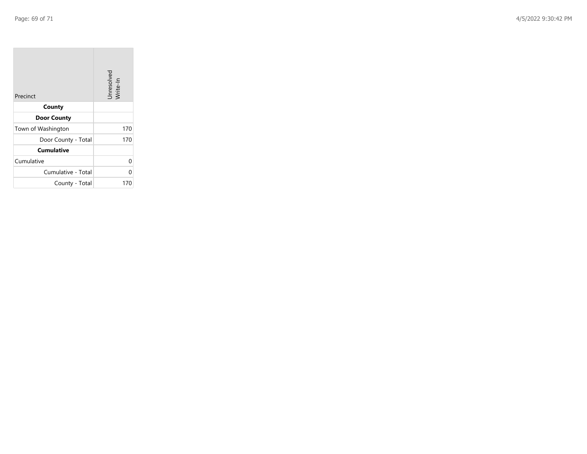| Precinct            | Unresolved<br>Write-In |
|---------------------|------------------------|
| County              |                        |
| <b>Door County</b>  |                        |
| Town of Washington  | 170                    |
| Door County - Total | 170                    |
| <b>Cumulative</b>   |                        |
| Cumulative          | 0                      |
| Cumulative - Total  | 0                      |
| County - Total      | 170                    |

the company of the company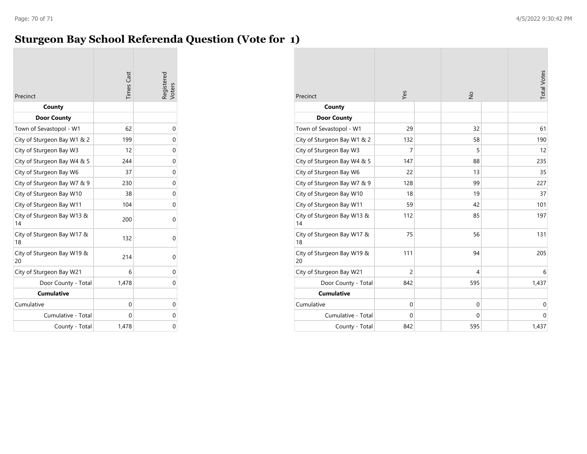#### **Sturgeon Bay School Referenda Question (Vote for 1)**

| Precinct                         | <b>Times Cast</b> | Registered<br>Voters |
|----------------------------------|-------------------|----------------------|
| County                           |                   |                      |
| <b>Door County</b>               |                   |                      |
| Town of Sevastopol - W1          | 62                | 0                    |
| City of Sturgeon Bay W1 & 2      | 199               | 0                    |
| City of Sturgeon Bay W3          | 12                | 0                    |
| City of Sturgeon Bay W4 & 5      | 244               | 0                    |
| City of Sturgeon Bay W6          | 37                | 0                    |
| City of Sturgeon Bay W7 & 9      | 230               | 0                    |
| City of Sturgeon Bay W10         | 38                | 0                    |
| City of Sturgeon Bay W11         | 104               | 0                    |
| City of Sturgeon Bay W13 &<br>14 | 200               | 0                    |
| City of Sturgeon Bay W17 &<br>18 | 132               | 0                    |
| City of Sturgeon Bay W19 &<br>20 | 214               | 0                    |
| City of Sturgeon Bay W21         | 6                 | 0                    |
| Door County - Total              | 1,478             | 0                    |
| <b>Cumulative</b>                |                   |                      |
| Cumulative                       | $\Omega$          | 0                    |
| Cumulative - Total               | 0                 | 0                    |
| County - Total                   | 1,478             | 0                    |

| Precinct                         | Yes            | $\frac{1}{2}$ | <b>Total Votes</b> |
|----------------------------------|----------------|---------------|--------------------|
| County                           |                |               |                    |
| <b>Door County</b>               |                |               |                    |
| Town of Sevastopol - W1          | 29             | 32            | 61                 |
| City of Sturgeon Bay W1 & 2      | 132            | 58            | 190                |
| City of Sturgeon Bay W3          | 7              | 5             | 12                 |
| City of Sturgeon Bay W4 & 5      | 147            | 88            | 235                |
| City of Sturgeon Bay W6          | 22             | 13            | 35                 |
| City of Sturgeon Bay W7 & 9      | 128            | 99            | 227                |
| City of Sturgeon Bay W10         | 18             | 19            | 37                 |
| City of Sturgeon Bay W11         | 59             | 42            | 101                |
| City of Sturgeon Bay W13 &<br>14 | 112            | 85            | 197                |
| City of Sturgeon Bay W17 &<br>18 | 75             | 56            | 131                |
| City of Sturgeon Bay W19 &<br>20 | 111            | 94            | 205                |
| City of Sturgeon Bay W21         | $\overline{c}$ | 4             | 6                  |
| Door County - Total              | 842            | 595           | 1,437              |
| <b>Cumulative</b>                |                |               |                    |
| Cumulative                       | $\mathbf 0$    | $\mathbf 0$   | 0                  |
| Cumulative - Total               | $\Omega$       | $\mathbf 0$   | $\mathbf 0$        |
| County - Total                   | 842            | 595           | 1,437              |